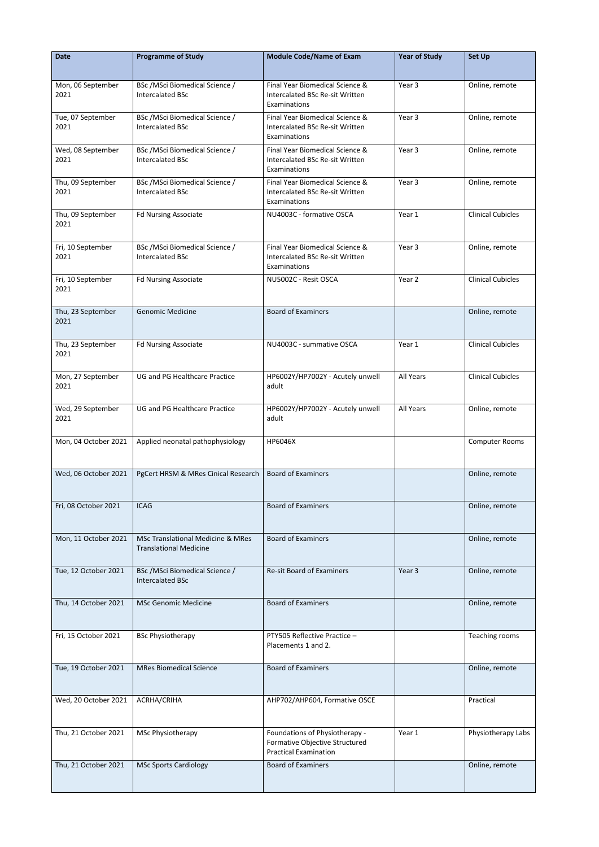| <b>Date</b>               | <b>Programme of Study</b>                                                     | <b>Module Code/Name of Exam</b>                                                                  | <b>Year of Study</b> | <b>Set Up</b>            |
|---------------------------|-------------------------------------------------------------------------------|--------------------------------------------------------------------------------------------------|----------------------|--------------------------|
| Mon, 06 September<br>2021 | BSc / MSci Biomedical Science /<br><b>Intercalated BSc</b>                    | Final Year Biomedical Science &<br>Intercalated BSc Re-sit Written<br>Examinations               | Year 3               | Online, remote           |
| Tue, 07 September<br>2021 | BSc / MSci Biomedical Science /<br><b>Intercalated BSc</b>                    | Final Year Biomedical Science &<br>Intercalated BSc Re-sit Written<br>Examinations               | Year 3               | Online, remote           |
| Wed, 08 September<br>2021 | BSc /MSci Biomedical Science /<br><b>Intercalated BSc</b>                     | Final Year Biomedical Science &<br>Intercalated BSc Re-sit Written<br>Examinations               | Year 3               | Online, remote           |
| Thu, 09 September<br>2021 | BSc /MSci Biomedical Science /<br><b>Intercalated BSc</b>                     | Final Year Biomedical Science &<br>Intercalated BSc Re-sit Written<br>Examinations               | Year 3               | Online, remote           |
| Thu, 09 September<br>2021 | <b>Fd Nursing Associate</b>                                                   | NU4003C - formative OSCA                                                                         | Year 1               | <b>Clinical Cubicles</b> |
| Fri, 10 September<br>2021 | BSc / MSci Biomedical Science /<br><b>Intercalated BSc</b>                    | Final Year Biomedical Science &<br>Intercalated BSc Re-sit Written<br>Examinations               | Year 3               | Online, remote           |
| Fri, 10 September<br>2021 | <b>Fd Nursing Associate</b>                                                   | NU5002C - Resit OSCA                                                                             | Year 2               | <b>Clinical Cubicles</b> |
| Thu, 23 September<br>2021 | <b>Genomic Medicine</b>                                                       | <b>Board of Examiners</b>                                                                        |                      | Online, remote           |
| Thu, 23 September<br>2021 | <b>Fd Nursing Associate</b>                                                   | NU4003C - summative OSCA                                                                         | Year 1               | <b>Clinical Cubicles</b> |
| Mon, 27 September<br>2021 | <b>UG and PG Healthcare Practice</b>                                          | HP6002Y/HP7002Y - Acutely unwell<br>adult                                                        | All Years            | <b>Clinical Cubicles</b> |
| Wed, 29 September<br>2021 | UG and PG Healthcare Practice                                                 | HP6002Y/HP7002Y - Acutely unwell<br>adult                                                        | All Years            | Online, remote           |
| Mon, 04 October 2021      | Applied neonatal pathophysiology                                              | HP6046X                                                                                          |                      | <b>Computer Rooms</b>    |
| Wed, 06 October 2021      | PgCert HRSM & MRes Cinical Research                                           | <b>Board of Examiners</b>                                                                        |                      | Online, remote           |
| Fri, 08 October 2021      | <b>ICAG</b>                                                                   | <b>Board of Examiners</b>                                                                        |                      | Online, remote           |
| Mon, 11 October 2021      | <b>MSc Translational Medicine &amp; MRes</b><br><b>Translational Medicine</b> | <b>Board of Examiners</b>                                                                        |                      | Online, remote           |
| Tue, 12 October 2021      | BSc /MSci Biomedical Science /<br><b>Intercalated BSc</b>                     | <b>Re-sit Board of Examiners</b>                                                                 | Year 3               | Online, remote           |
| Thu, 14 October 2021      | <b>MSc Genomic Medicine</b>                                                   | <b>Board of Examiners</b>                                                                        |                      | Online, remote           |
| Fri, 15 October 2021      | <b>BSc Physiotherapy</b>                                                      | PTY505 Reflective Practice -<br>Placements 1 and 2.                                              |                      | Teaching rooms           |
| Tue, 19 October 2021      | <b>MRes Biomedical Science</b>                                                | <b>Board of Examiners</b>                                                                        |                      | Online, remote           |
| Wed, 20 October 2021      | ACRHA/CRIHA                                                                   | AHP702/AHP604, Formative OSCE                                                                    |                      | Practical                |
| Thu, 21 October 2021      | MSc Physiotherapy                                                             | Foundations of Physiotherapy -<br>Formative Objective Structured<br><b>Practical Examination</b> | Year 1               | Physiotherapy Labs       |
| Thu, 21 October 2021      | <b>MSc Sports Cardiology</b>                                                  | <b>Board of Examiners</b>                                                                        |                      | Online, remote           |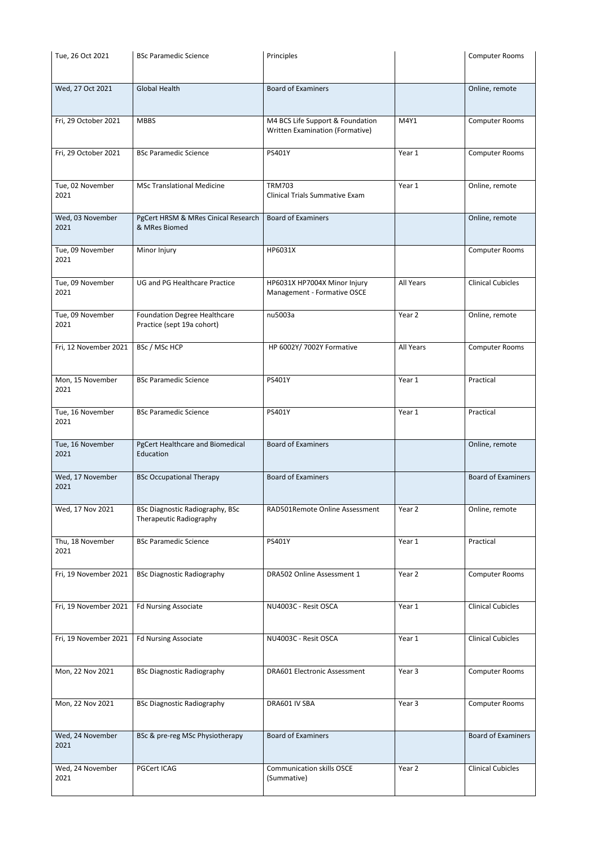| Tue, 26 Oct 2021      | <b>BSc Paramedic Science</b>                         | Principles                             |                   | <b>Computer Rooms</b>     |
|-----------------------|------------------------------------------------------|----------------------------------------|-------------------|---------------------------|
|                       |                                                      |                                        |                   |                           |
| Wed, 27 Oct 2021      | <b>Global Health</b>                                 | <b>Board of Examiners</b>              |                   | Online, remote            |
|                       |                                                      |                                        |                   |                           |
| Fri, 29 October 2021  | <b>MBBS</b>                                          | M4 BCS Life Support & Foundation       | M4Y1              | <b>Computer Rooms</b>     |
|                       |                                                      | <b>Written Examination (Formative)</b> |                   |                           |
| Fri, 29 October 2021  | <b>BSc Paramedic Science</b>                         | PS401Y                                 | Year 1            | <b>Computer Rooms</b>     |
|                       |                                                      |                                        |                   |                           |
| Tue, 02 November      | <b>MSc Translational Medicine</b>                    | <b>TRM703</b>                          | Year 1            | Online, remote            |
| 2021                  |                                                      | <b>Clinical Trials Summative Exam</b>  |                   |                           |
| Wed, 03 November      | PgCert HRSM & MRes Cinical Research<br>& MRes Biomed | <b>Board of Examiners</b>              |                   | Online, remote            |
| 2021                  |                                                      |                                        |                   |                           |
| Tue, 09 November      | Minor Injury                                         | HP6031X                                |                   | <b>Computer Rooms</b>     |
| 2021                  |                                                      |                                        |                   |                           |
| Tue, 09 November      | <b>UG and PG Healthcare Practice</b>                 | HP6031X HP7004X Minor Injury           | All Years         | <b>Clinical Cubicles</b>  |
| 2021                  |                                                      | Management - Formative OSCE            |                   |                           |
| Tue, 09 November      | <b>Foundation Degree Healthcare</b>                  | nu5003a                                | Year 2            | Online, remote            |
| 2021                  | Practice (sept 19a cohort)                           |                                        |                   |                           |
| Fri, 12 November 2021 | BSc / MSc HCP                                        | HP 6002Y/ 7002Y Formative              | All Years         | <b>Computer Rooms</b>     |
|                       |                                                      |                                        |                   |                           |
| Mon, 15 November      | <b>BSc Paramedic Science</b>                         | PS401Y                                 | Year 1            | Practical                 |
| 2021                  |                                                      |                                        |                   |                           |
| Tue, 16 November      | <b>BSc Paramedic Science</b>                         | PS401Y                                 | Year 1            | Practical                 |
| 2021                  |                                                      |                                        |                   |                           |
| Tue, 16 November      | <b>PgCert Healthcare and Biomedical</b>              | <b>Board of Examiners</b>              |                   | Online, remote            |
| 2021                  | Education                                            |                                        |                   |                           |
| Wed, 17 November      | <b>BSc Occupational Therapy</b>                      | <b>Board of Examiners</b>              |                   | <b>Board of Examiners</b> |
| 2021                  |                                                      |                                        |                   |                           |
| Wed, 17 Nov 2021      | <b>BSc Diagnostic Radiography, BSc</b>               | RAD501Remote Online Assessment         | Year 2            | Online, remote            |
|                       | Therapeutic Radiography                              |                                        |                   |                           |
| Thu, 18 November      | <b>BSc Paramedic Science</b>                         | PS401Y                                 | Year 1            | Practical                 |
| 2021                  |                                                      |                                        |                   |                           |
| Fri, 19 November 2021 | <b>BSc Diagnostic Radiography</b>                    | DRA502 Online Assessment 1             | Year 2            | <b>Computer Rooms</b>     |
|                       |                                                      |                                        |                   |                           |
| Fri, 19 November 2021 | <b>Fd Nursing Associate</b>                          | NU4003C - Resit OSCA                   | Year 1            | <b>Clinical Cubicles</b>  |
|                       |                                                      |                                        |                   |                           |
| Fri, 19 November 2021 | <b>Fd Nursing Associate</b>                          | NU4003C - Resit OSCA                   | Year 1            | <b>Clinical Cubicles</b>  |
|                       |                                                      |                                        |                   |                           |
|                       |                                                      |                                        |                   |                           |
| Mon, 22 Nov 2021      | <b>BSc Diagnostic Radiography</b>                    | <b>DRA601 Electronic Assessment</b>    | Year <sub>3</sub> | <b>Computer Rooms</b>     |
|                       |                                                      |                                        |                   |                           |
| Mon, 22 Nov 2021      | <b>BSc Diagnostic Radiography</b>                    | DRA601 IV SBA                          | Year 3            | <b>Computer Rooms</b>     |
|                       |                                                      |                                        |                   |                           |
| Wed, 24 November      | BSc & pre-reg MSc Physiotherapy                      | <b>Board of Examiners</b>              |                   | <b>Board of Examiners</b> |
| 2021                  |                                                      |                                        |                   |                           |
| Wed, 24 November      | <b>PGCert ICAG</b>                                   | <b>Communication skills OSCE</b>       | Year 2            | <b>Clinical Cubicles</b>  |
| 2021                  |                                                      | (Summative)                            |                   |                           |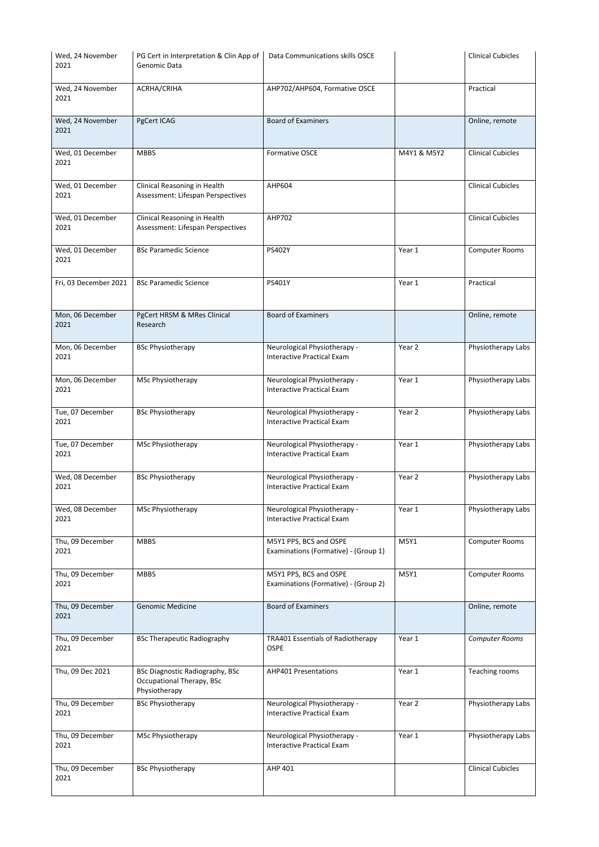| Wed, 24 November<br>2021 | PG Cert in Interpretation & Clin App of<br>Genomic Data                              | Data Communications skills OSCE                                   |             | <b>Clinical Cubicles</b> |
|--------------------------|--------------------------------------------------------------------------------------|-------------------------------------------------------------------|-------------|--------------------------|
| Wed, 24 November<br>2021 | ACRHA/CRIHA                                                                          | AHP702/AHP604, Formative OSCE                                     |             | Practical                |
| Wed, 24 November<br>2021 | PgCert ICAG                                                                          | <b>Board of Examiners</b>                                         |             | Online, remote           |
| Wed, 01 December<br>2021 | <b>MBBS</b>                                                                          | Formative OSCE                                                    | M4Y1 & M5Y2 | <b>Clinical Cubicles</b> |
| Wed, 01 December<br>2021 | Clinical Reasoning in Health<br>Assessment: Lifespan Perspectives                    | <b>AHP604</b>                                                     |             | <b>Clinical Cubicles</b> |
| Wed, 01 December<br>2021 | Clinical Reasoning in Health<br>Assessment: Lifespan Perspectives                    | <b>AHP702</b>                                                     |             | <b>Clinical Cubicles</b> |
| Wed, 01 December<br>2021 | <b>BSc Paramedic Science</b>                                                         | PS402Y                                                            | Year 1      | <b>Computer Rooms</b>    |
| Fri, 03 December 2021    | <b>BSc Paramedic Science</b>                                                         | PS401Y                                                            | Year 1      | Practical                |
| Mon, 06 December<br>2021 | PgCert HRSM & MRes Clinical<br>Research                                              | <b>Board of Examiners</b>                                         |             | Online, remote           |
| Mon, 06 December<br>2021 | <b>BSc Physiotherapy</b>                                                             | Neurological Physiotherapy -<br><b>Interactive Practical Exam</b> | Year 2      | Physiotherapy Labs       |
| Mon, 06 December<br>2021 | <b>MSc Physiotherapy</b>                                                             | Neurological Physiotherapy -<br><b>Interactive Practical Exam</b> | Year 1      | Physiotherapy Labs       |
| Tue, 07 December<br>2021 | <b>BSc Physiotherapy</b>                                                             | Neurological Physiotherapy -<br><b>Interactive Practical Exam</b> | Year 2      | Physiotherapy Labs       |
| Tue, 07 December<br>2021 | MSc Physiotherapy                                                                    | Neurological Physiotherapy -<br><b>Interactive Practical Exam</b> | Year 1      | Physiotherapy Labs       |
| Wed, 08 December<br>2021 | <b>BSc Physiotherapy</b>                                                             | Neurological Physiotherapy -<br><b>Interactive Practical Exam</b> | Year 2      | Physiotherapy Labs       |
| Wed, 08 December<br>2021 | MSc Physiotherapy                                                                    | Neurological Physiotherapy -<br><b>Interactive Practical Exam</b> | Year 1      | Physiotherapy Labs       |
| Thu, 09 December<br>2021 | <b>MBBS</b>                                                                          | M5Y1 PPS, BCS and OSPE<br>Examinations (Formative) - (Group 1)    | M5Y1        | <b>Computer Rooms</b>    |
| Thu, 09 December<br>2021 | <b>MBBS</b>                                                                          | M5Y1 PPS, BCS and OSPE<br>Examinations (Formative) - (Group 2)    | M5Y1        | <b>Computer Rooms</b>    |
| Thu, 09 December<br>2021 | <b>Genomic Medicine</b>                                                              | <b>Board of Examiners</b>                                         |             | Online, remote           |
| Thu, 09 December<br>2021 | <b>BSc Therapeutic Radiography</b>                                                   | TRA401 Essentials of Radiotherapy<br><b>OSPE</b>                  | Year 1      | Computer Rooms           |
| Thu, 09 Dec 2021         | <b>BSc Diagnostic Radiography, BSc</b><br>Occupational Therapy, BSc<br>Physiotherapy | <b>AHP401 Presentations</b>                                       | Year 1      | Teaching rooms           |
| Thu, 09 December<br>2021 | <b>BSc Physiotherapy</b>                                                             | Neurological Physiotherapy -<br><b>Interactive Practical Exam</b> | Year 2      | Physiotherapy Labs       |
| Thu, 09 December<br>2021 | MSc Physiotherapy                                                                    | Neurological Physiotherapy -<br><b>Interactive Practical Exam</b> | Year 1      | Physiotherapy Labs       |
| Thu, 09 December<br>2021 | <b>BSc Physiotherapy</b>                                                             | AHP 401                                                           |             | <b>Clinical Cubicles</b> |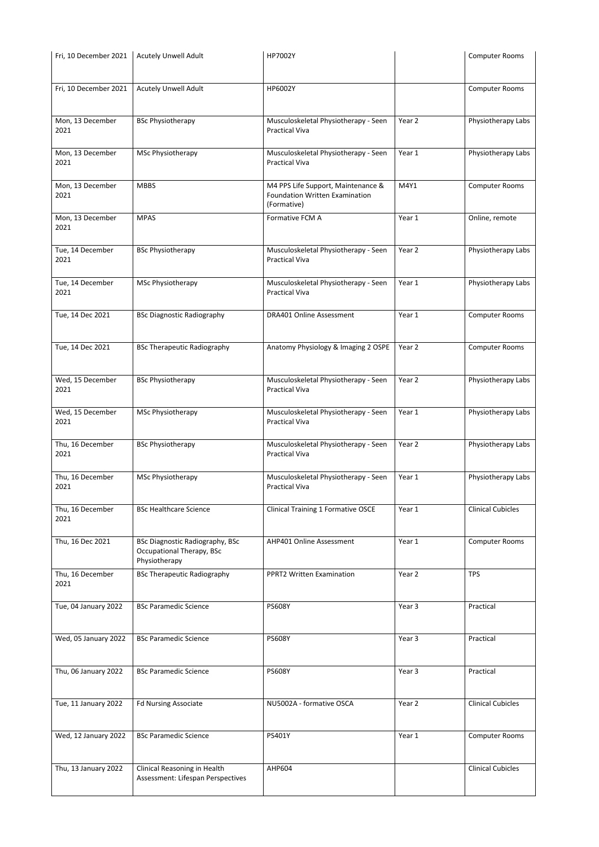| Fri, 10 December 2021    | <b>Acutely Unwell Adult</b>                                       | HP7002Y                                                                     |                   | <b>Computer Rooms</b>    |
|--------------------------|-------------------------------------------------------------------|-----------------------------------------------------------------------------|-------------------|--------------------------|
|                          |                                                                   |                                                                             |                   |                          |
| Fri, 10 December 2021    | <b>Acutely Unwell Adult</b>                                       | HP6002Y                                                                     |                   | <b>Computer Rooms</b>    |
|                          |                                                                   |                                                                             |                   |                          |
| Mon, 13 December         | <b>BSc Physiotherapy</b>                                          | Musculoskeletal Physiotherapy - Seen                                        | Year 2            | Physiotherapy Labs       |
| 2021                     |                                                                   | <b>Practical Viva</b>                                                       |                   |                          |
| Mon, 13 December         | MSc Physiotherapy                                                 |                                                                             | Year 1            |                          |
| 2021                     |                                                                   | Musculoskeletal Physiotherapy - Seen<br><b>Practical Viva</b>               |                   | Physiotherapy Labs       |
|                          |                                                                   |                                                                             |                   |                          |
| Mon, 13 December<br>2021 | <b>MBBS</b>                                                       | M4 PPS Life Support, Maintenance &<br><b>Foundation Written Examination</b> | M4Y1              | <b>Computer Rooms</b>    |
|                          |                                                                   | (Formative)                                                                 |                   |                          |
| Mon, 13 December         | <b>MPAS</b>                                                       | Formative FCM A                                                             | Year 1            | Online, remote           |
| 2021                     |                                                                   |                                                                             |                   |                          |
| Tue, 14 December         | <b>BSc Physiotherapy</b>                                          | Musculoskeletal Physiotherapy - Seen                                        | Year 2            | Physiotherapy Labs       |
| 2021                     |                                                                   | <b>Practical Viva</b>                                                       |                   |                          |
| Tue, 14 December         | MSc Physiotherapy                                                 | Musculoskeletal Physiotherapy - Seen                                        | Year 1            | Physiotherapy Labs       |
| 2021                     |                                                                   | <b>Practical Viva</b>                                                       |                   |                          |
|                          |                                                                   |                                                                             |                   |                          |
| Tue, 14 Dec 2021         | <b>BSc Diagnostic Radiography</b>                                 | <b>DRA401 Online Assessment</b>                                             | Year 1            | <b>Computer Rooms</b>    |
|                          |                                                                   |                                                                             |                   |                          |
| Tue, 14 Dec 2021         | <b>BSc Therapeutic Radiography</b>                                | Anatomy Physiology & Imaging 2 OSPE                                         | Year 2            | <b>Computer Rooms</b>    |
|                          |                                                                   |                                                                             |                   |                          |
| Wed, 15 December         | <b>BSc Physiotherapy</b>                                          | Musculoskeletal Physiotherapy - Seen                                        | Year 2            | Physiotherapy Labs       |
| 2021                     |                                                                   | <b>Practical Viva</b>                                                       |                   |                          |
| Wed, 15 December         | MSc Physiotherapy                                                 | Musculoskeletal Physiotherapy - Seen                                        | Year 1            | Physiotherapy Labs       |
| 2021                     |                                                                   | <b>Practical Viva</b>                                                       |                   |                          |
|                          |                                                                   |                                                                             |                   |                          |
| Thu, 16 December<br>2021 | <b>BSc Physiotherapy</b>                                          | Musculoskeletal Physiotherapy - Seen<br><b>Practical Viva</b>               | Year 2            | Physiotherapy Labs       |
|                          |                                                                   |                                                                             |                   |                          |
| Thu, 16 December<br>2021 | MSc Physiotherapy                                                 | Musculoskeletal Physiotherapy - Seen<br><b>Practical Viva</b>               | Year 1            | Physiotherapy Labs       |
|                          |                                                                   |                                                                             |                   |                          |
| Thu, 16 December         | <b>BSc Healthcare Science</b>                                     | <b>Clinical Training 1 Formative OSCE</b>                                   | Year 1            | <b>Clinical Cubicles</b> |
| 2021                     |                                                                   |                                                                             |                   |                          |
| Thu, 16 Dec 2021         | <b>BSc Diagnostic Radiography, BSc</b>                            | AHP401 Online Assessment                                                    | Year 1            | <b>Computer Rooms</b>    |
|                          | Occupational Therapy, BSc<br>Physiotherapy                        |                                                                             |                   |                          |
| Thu, 16 December         | <b>BSc Therapeutic Radiography</b>                                | <b>PPRT2 Written Examination</b>                                            | Year 2            | <b>TPS</b>               |
| 2021                     |                                                                   |                                                                             |                   |                          |
| Tue, 04 January 2022     | <b>BSc Paramedic Science</b>                                      | <b>PS608Y</b>                                                               | Year 3            | Practical                |
|                          |                                                                   |                                                                             |                   |                          |
|                          |                                                                   |                                                                             |                   |                          |
| Wed, 05 January 2022     | <b>BSc Paramedic Science</b>                                      | <b>PS608Y</b>                                                               | Year 3            | Practical                |
|                          |                                                                   |                                                                             |                   |                          |
| Thu, 06 January 2022     | <b>BSc Paramedic Science</b>                                      | <b>PS608Y</b>                                                               | Year <sub>3</sub> | Practical                |
|                          |                                                                   |                                                                             |                   |                          |
| Tue, 11 January 2022     | <b>Fd Nursing Associate</b>                                       | NU5002A - formative OSCA                                                    | Year 2            | <b>Clinical Cubicles</b> |
|                          |                                                                   |                                                                             |                   |                          |
| Wed, 12 January 2022     | <b>BSc Paramedic Science</b>                                      | PS401Y                                                                      | Year 1            | <b>Computer Rooms</b>    |
|                          |                                                                   |                                                                             |                   |                          |
|                          |                                                                   |                                                                             |                   |                          |
| Thu, 13 January 2022     | Clinical Reasoning in Health<br>Assessment: Lifespan Perspectives | AHP604                                                                      |                   | <b>Clinical Cubicles</b> |
|                          |                                                                   |                                                                             |                   |                          |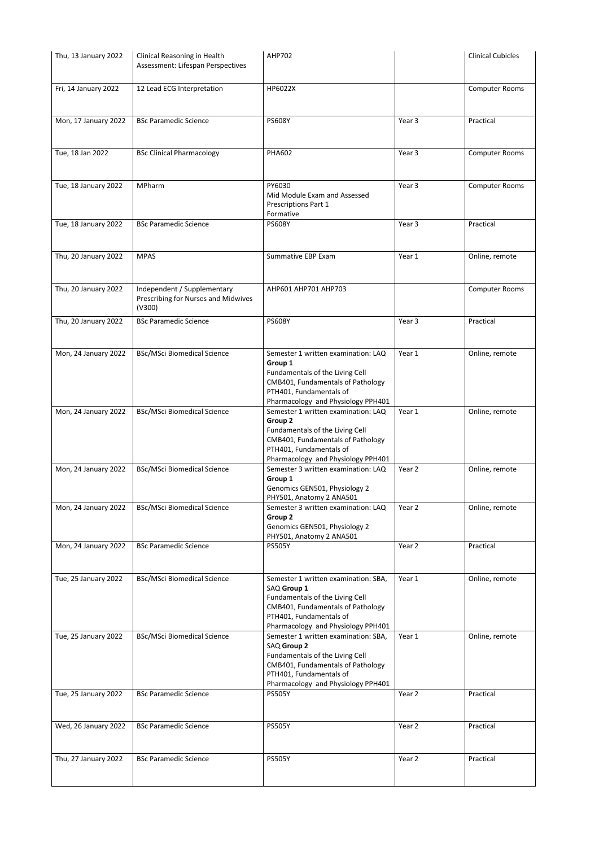| Thu, 13 January 2022 | Clinical Reasoning in Health<br>Assessment: Lifespan Perspectives            | <b>AHP702</b>                                                                                                                                                                                |        | <b>Clinical Cubicles</b> |
|----------------------|------------------------------------------------------------------------------|----------------------------------------------------------------------------------------------------------------------------------------------------------------------------------------------|--------|--------------------------|
| Fri, 14 January 2022 | 12 Lead ECG Interpretation                                                   | HP6022X                                                                                                                                                                                      |        | <b>Computer Rooms</b>    |
| Mon, 17 January 2022 | <b>BSc Paramedic Science</b>                                                 | <b>PS608Y</b>                                                                                                                                                                                | Year 3 | Practical                |
| Tue, 18 Jan 2022     | <b>BSc Clinical Pharmacology</b>                                             | <b>PHA602</b>                                                                                                                                                                                | Year 3 | <b>Computer Rooms</b>    |
| Tue, 18 January 2022 | MPharm                                                                       | PY6030<br>Mid Module Exam and Assessed<br>Prescriptions Part 1<br>Formative                                                                                                                  | Year 3 | <b>Computer Rooms</b>    |
| Tue, 18 January 2022 | <b>BSc Paramedic Science</b>                                                 | <b>PS608Y</b>                                                                                                                                                                                | Year 3 | Practical                |
| Thu, 20 January 2022 | <b>MPAS</b>                                                                  | <b>Summative EBP Exam</b>                                                                                                                                                                    | Year 1 | Online, remote           |
| Thu, 20 January 2022 | Independent / Supplementary<br>Prescribing for Nurses and Midwives<br>(V300) | AHP601 AHP701 AHP703                                                                                                                                                                         |        | <b>Computer Rooms</b>    |
| Thu, 20 January 2022 | <b>BSc Paramedic Science</b>                                                 | <b>PS608Y</b>                                                                                                                                                                                | Year 3 | Practical                |
| Mon, 24 January 2022 | <b>BSc/MSci Biomedical Science</b>                                           | Semester 1 written examination: LAQ<br>Group 1<br>Fundamentals of the Living Cell<br>CMB401, Fundamentals of Pathology<br>PTH401, Fundamentals of<br>Pharmacology and Physiology PPH401      | Year 1 | Online, remote           |
| Mon, 24 January 2022 | <b>BSc/MSci Biomedical Science</b>                                           | Semester 1 written examination: LAQ<br>Group 2<br>Fundamentals of the Living Cell<br>CMB401, Fundamentals of Pathology<br>PTH401, Fundamentals of<br>Pharmacology and Physiology PPH401      | Year 1 | Online, remote           |
| Mon, 24 January 2022 | <b>BSc/MSci Biomedical Science</b>                                           | Semester 3 written examination: LAQ<br>Group 1<br>Genomics GEN501, Physiology 2<br>PHY501, Anatomy 2 ANA501                                                                                  | Year 2 | Online, remote           |
| Mon, 24 January 2022 | <b>BSc/MSci Biomedical Science</b>                                           | Semester 3 written examination: LAQ<br>Group 2<br>Genomics GEN501, Physiology 2<br>PHY501, Anatomy 2 ANA501                                                                                  | Year 2 | Online, remote           |
| Mon, 24 January 2022 | <b>BSc Paramedic Science</b>                                                 | <b>PS505Y</b>                                                                                                                                                                                | Year 2 | Practical                |
| Tue, 25 January 2022 | <b>BSc/MSci Biomedical Science</b>                                           | Semester 1 written examination: SBA,<br>SAQ Group 1<br>Fundamentals of the Living Cell<br>CMB401, Fundamentals of Pathology<br>PTH401, Fundamentals of<br>Pharmacology and Physiology PPH401 | Year 1 | Online, remote           |
| Tue, 25 January 2022 | <b>BSc/MSci Biomedical Science</b>                                           | Semester 1 written examination: SBA,<br>SAQ Group 2<br>Fundamentals of the Living Cell<br>CMB401, Fundamentals of Pathology<br>PTH401, Fundamentals of<br>Pharmacology and Physiology PPH401 | Year 1 | Online, remote           |
| Tue, 25 January 2022 | <b>BSc Paramedic Science</b>                                                 | <b>PS505Y</b>                                                                                                                                                                                | Year 2 | Practical                |
| Wed, 26 January 2022 | <b>BSc Paramedic Science</b>                                                 | <b>PS505Y</b>                                                                                                                                                                                | Year 2 | Practical                |
| Thu, 27 January 2022 | <b>BSc Paramedic Science</b>                                                 | <b>PS505Y</b>                                                                                                                                                                                | Year 2 | Practical                |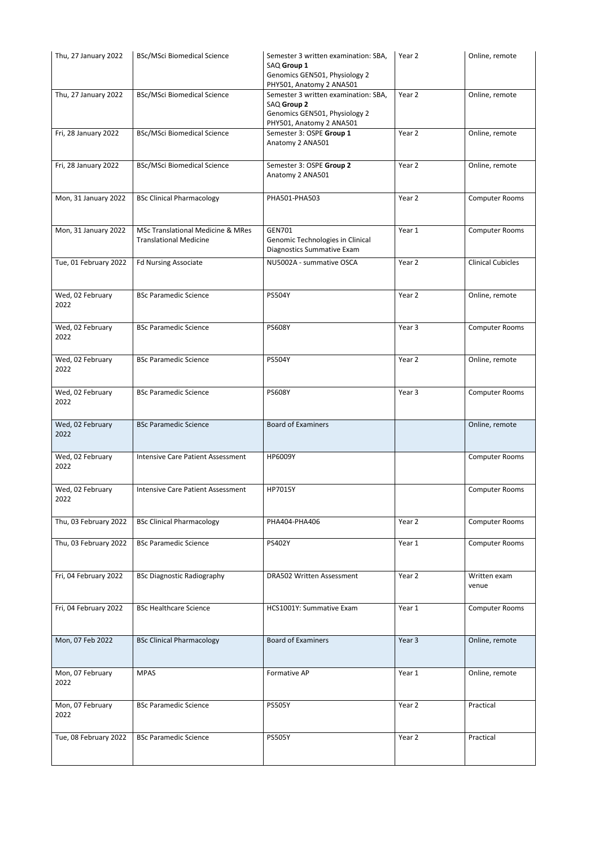| Thu, 27 January 2022     | <b>BSc/MSci Biomedical Science</b>                                            | Semester 3 written examination: SBA,<br>SAQ Group 1<br>Genomics GEN501, Physiology 2<br>PHY501, Anatomy 2 ANA501 | Year 2 | Online, remote           |
|--------------------------|-------------------------------------------------------------------------------|------------------------------------------------------------------------------------------------------------------|--------|--------------------------|
| Thu, 27 January 2022     | <b>BSc/MSci Biomedical Science</b>                                            | Semester 3 written examination: SBA,<br>SAQ Group 2<br>Genomics GEN501, Physiology 2<br>PHY501, Anatomy 2 ANA501 | Year 2 | Online, remote           |
| Fri, 28 January 2022     | <b>BSc/MSci Biomedical Science</b>                                            | Semester 3: OSPE Group 1<br>Anatomy 2 ANA501                                                                     | Year 2 | Online, remote           |
| Fri, 28 January 2022     | <b>BSc/MSci Biomedical Science</b>                                            | Semester 3: OSPE Group 2<br>Anatomy 2 ANA501                                                                     | Year 2 | Online, remote           |
| Mon, 31 January 2022     | <b>BSc Clinical Pharmacology</b>                                              | PHA501-PHA503                                                                                                    | Year 2 | <b>Computer Rooms</b>    |
| Mon, 31 January 2022     | <b>MSc Translational Medicine &amp; MRes</b><br><b>Translational Medicine</b> | <b>GEN701</b><br>Genomic Technologies in Clinical<br>Diagnostics Summative Exam                                  | Year 1 | <b>Computer Rooms</b>    |
| Tue, 01 February 2022    | <b>Fd Nursing Associate</b>                                                   | NU5002A - summative OSCA                                                                                         | Year 2 | <b>Clinical Cubicles</b> |
| Wed, 02 February<br>2022 | <b>BSc Paramedic Science</b>                                                  | <b>PS504Y</b>                                                                                                    | Year 2 | Online, remote           |
| Wed, 02 February<br>2022 | <b>BSc Paramedic Science</b>                                                  | <b>PS608Y</b>                                                                                                    | Year 3 | <b>Computer Rooms</b>    |
| Wed, 02 February<br>2022 | <b>BSc Paramedic Science</b>                                                  | <b>PS504Y</b>                                                                                                    | Year 2 | Online, remote           |
| Wed, 02 February<br>2022 | <b>BSc Paramedic Science</b>                                                  | <b>PS608Y</b>                                                                                                    | Year 3 | <b>Computer Rooms</b>    |
| Wed, 02 February<br>2022 | <b>BSc Paramedic Science</b>                                                  | <b>Board of Examiners</b>                                                                                        |        | Online, remote           |
| Wed, 02 February<br>2022 | <b>Intensive Care Patient Assessment</b>                                      | HP6009Y                                                                                                          |        | <b>Computer Rooms</b>    |
| Wed, 02 February<br>2022 | <b>Intensive Care Patient Assessment</b>                                      | HP7015Y                                                                                                          |        | <b>Computer Rooms</b>    |
| Thu, 03 February 2022    | <b>BSc Clinical Pharmacology</b>                                              | PHA404-PHA406                                                                                                    | Year 2 | Computer Rooms           |
| Thu, 03 February 2022    | <b>BSc Paramedic Science</b>                                                  | <b>PS402Y</b>                                                                                                    | Year 1 | <b>Computer Rooms</b>    |
| Fri, 04 February 2022    | <b>BSc Diagnostic Radiography</b>                                             | DRA502 Written Assessment                                                                                        | Year 2 | Written exam<br>venue    |
| Fri, 04 February 2022    | <b>BSc Healthcare Science</b>                                                 | HCS1001Y: Summative Exam                                                                                         | Year 1 | <b>Computer Rooms</b>    |
| Mon, 07 Feb 2022         | <b>BSc Clinical Pharmacology</b>                                              | <b>Board of Examiners</b>                                                                                        | Year 3 | Online, remote           |
| Mon, 07 February<br>2022 | <b>MPAS</b>                                                                   | Formative AP                                                                                                     | Year 1 | Online, remote           |
| Mon, 07 February<br>2022 | <b>BSc Paramedic Science</b>                                                  | <b>PS505Y</b>                                                                                                    | Year 2 | Practical                |
| Tue, 08 February 2022    | <b>BSc Paramedic Science</b>                                                  | <b>PS505Y</b>                                                                                                    | Year 2 | Practical                |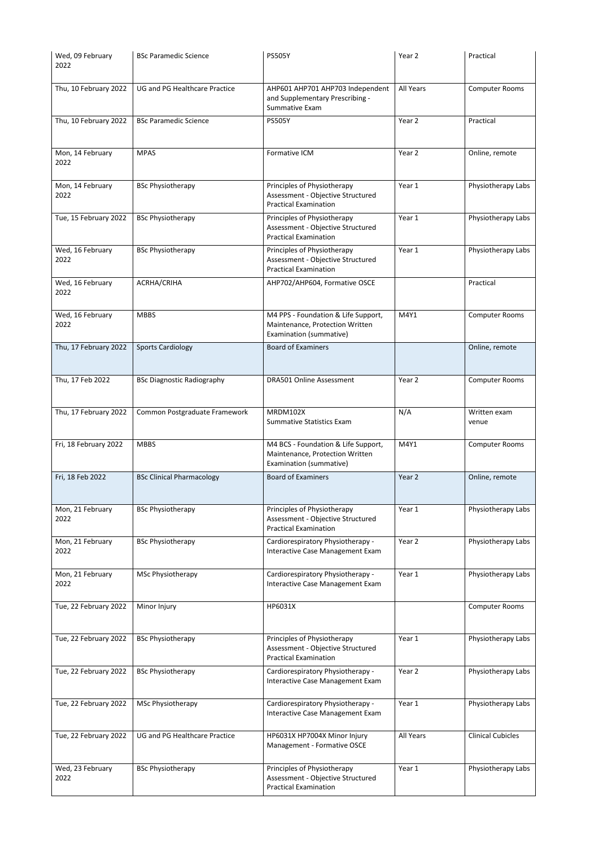| Wed, 09 February<br>2022 | <b>BSc Paramedic Science</b>         | <b>PS505Y</b>                                                                                     | Year 2            | Practical                |
|--------------------------|--------------------------------------|---------------------------------------------------------------------------------------------------|-------------------|--------------------------|
| Thu, 10 February 2022    | <b>UG and PG Healthcare Practice</b> | AHP601 AHP701 AHP703 Independent<br>and Supplementary Prescribing -<br>Summative Exam             | All Years         | <b>Computer Rooms</b>    |
| Thu, 10 February 2022    | <b>BSc Paramedic Science</b>         | <b>PS505Y</b>                                                                                     | Year 2            | Practical                |
| Mon, 14 February<br>2022 | <b>MPAS</b>                          | Formative ICM                                                                                     | Year 2            | Online, remote           |
| Mon, 14 February<br>2022 | <b>BSc Physiotherapy</b>             | Principles of Physiotherapy<br>Assessment - Objective Structured<br><b>Practical Examination</b>  | Year 1            | Physiotherapy Labs       |
| Tue, 15 February 2022    | <b>BSc Physiotherapy</b>             | Principles of Physiotherapy<br>Assessment - Objective Structured<br><b>Practical Examination</b>  | Year 1            | Physiotherapy Labs       |
| Wed, 16 February<br>2022 | <b>BSc Physiotherapy</b>             | Principles of Physiotherapy<br>Assessment - Objective Structured<br><b>Practical Examination</b>  | Year 1            | Physiotherapy Labs       |
| Wed, 16 February<br>2022 | ACRHA/CRIHA                          | AHP702/AHP604, Formative OSCE                                                                     |                   | Practical                |
| Wed, 16 February<br>2022 | <b>MBBS</b>                          | M4 PPS - Foundation & Life Support,<br>Maintenance, Protection Written<br>Examination (summative) | M4Y1              | <b>Computer Rooms</b>    |
| Thu, 17 February 2022    | <b>Sports Cardiology</b>             | <b>Board of Examiners</b>                                                                         |                   | Online, remote           |
| Thu, 17 Feb 2022         | <b>BSc Diagnostic Radiography</b>    | <b>DRA501 Online Assessment</b>                                                                   | Year 2            | <b>Computer Rooms</b>    |
| Thu, 17 February 2022    | Common Postgraduate Framework        | MRDM102X<br><b>Summative Statistics Exam</b>                                                      | N/A               | Written exam<br>venue    |
| Fri, 18 February 2022    | <b>MBBS</b>                          | M4 BCS - Foundation & Life Support,<br>Maintenance, Protection Written<br>Examination (summative) | M4Y1              | <b>Computer Rooms</b>    |
| Fri, 18 Feb 2022         | <b>BSc Clinical Pharmacology</b>     | <b>Board of Examiners</b>                                                                         | Year 2            | Online, remote           |
| Mon, 21 February<br>2022 | <b>BSc Physiotherapy</b>             | Principles of Physiotherapy<br>Assessment - Objective Structured<br><b>Practical Examination</b>  | Year 1            | Physiotherapy Labs       |
| Mon, 21 February<br>2022 | <b>BSc Physiotherapy</b>             | Cardiorespiratory Physiotherapy -<br>Interactive Case Management Exam                             | Year 2            | Physiotherapy Labs       |
| Mon, 21 February<br>2022 | MSc Physiotherapy                    | Cardiorespiratory Physiotherapy -<br>Interactive Case Management Exam                             | Year 1            | Physiotherapy Labs       |
| Tue, 22 February 2022    | Minor Injury                         | HP6031X                                                                                           |                   | <b>Computer Rooms</b>    |
| Tue, 22 February 2022    | <b>BSc Physiotherapy</b>             | Principles of Physiotherapy<br>Assessment - Objective Structured<br><b>Practical Examination</b>  | Year 1            | Physiotherapy Labs       |
| Tue, 22 February 2022    | <b>BSc Physiotherapy</b>             | Cardiorespiratory Physiotherapy -<br>Interactive Case Management Exam                             | Year <sub>2</sub> | Physiotherapy Labs       |
| Tue, 22 February 2022    | MSc Physiotherapy                    | Cardiorespiratory Physiotherapy -<br>Interactive Case Management Exam                             | Year 1            | Physiotherapy Labs       |
| Tue, 22 February 2022    | <b>UG and PG Healthcare Practice</b> | HP6031X HP7004X Minor Injury<br>Management - Formative OSCE                                       | All Years         | <b>Clinical Cubicles</b> |
| Wed, 23 February<br>2022 | <b>BSc Physiotherapy</b>             | Principles of Physiotherapy<br>Assessment - Objective Structured<br><b>Practical Examination</b>  | Year 1            | Physiotherapy Labs       |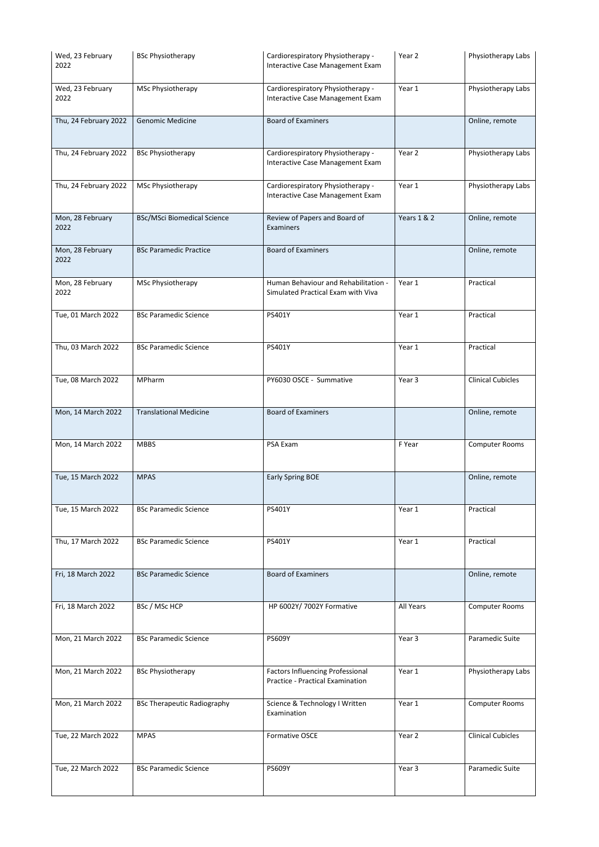| Wed, 23 February<br>2022 | <b>BSc Physiotherapy</b>           | Cardiorespiratory Physiotherapy -<br>Interactive Case Management Exam       | Year 2                 | Physiotherapy Labs       |
|--------------------------|------------------------------------|-----------------------------------------------------------------------------|------------------------|--------------------------|
| Wed, 23 February<br>2022 | MSc Physiotherapy                  | Cardiorespiratory Physiotherapy -<br>Interactive Case Management Exam       | Year 1                 | Physiotherapy Labs       |
| Thu, 24 February 2022    | <b>Genomic Medicine</b>            | <b>Board of Examiners</b>                                                   |                        | Online, remote           |
| Thu, 24 February 2022    | <b>BSc Physiotherapy</b>           | Cardiorespiratory Physiotherapy -<br>Interactive Case Management Exam       | Year 2                 | Physiotherapy Labs       |
| Thu, 24 February 2022    | MSc Physiotherapy                  | Cardiorespiratory Physiotherapy -<br>Interactive Case Management Exam       | Year 1                 | Physiotherapy Labs       |
| Mon, 28 February<br>2022 | <b>BSc/MSci Biomedical Science</b> | Review of Papers and Board of<br>Examiners                                  | <b>Years 1 &amp; 2</b> | Online, remote           |
| Mon, 28 February<br>2022 | <b>BSc Paramedic Practice</b>      | <b>Board of Examiners</b>                                                   |                        | Online, remote           |
| Mon, 28 February<br>2022 | MSc Physiotherapy                  | Human Behaviour and Rehabilitation -<br>Simulated Practical Exam with Viva  | Year 1                 | Practical                |
| Tue, 01 March 2022       | <b>BSc Paramedic Science</b>       | PS401Y                                                                      | Year 1                 | Practical                |
| Thu, 03 March 2022       | <b>BSc Paramedic Science</b>       | PS401Y                                                                      | Year 1                 | Practical                |
| Tue, 08 March 2022       | MPharm                             | PY6030 OSCE - Summative                                                     | Year 3                 | <b>Clinical Cubicles</b> |
| Mon, 14 March 2022       | <b>Translational Medicine</b>      | <b>Board of Examiners</b>                                                   |                        | Online, remote           |
| Mon, 14 March 2022       | <b>MBBS</b>                        | PSA Exam                                                                    | F Year                 | <b>Computer Rooms</b>    |
| Tue, 15 March 2022       | <b>MPAS</b>                        | <b>Early Spring BOE</b>                                                     |                        | Online, remote           |
| Tue, 15 March 2022       | <b>BSc Paramedic Science</b>       | PS401Y                                                                      | Year 1                 | Practical                |
| Thu, 17 March 2022       | <b>BSc Paramedic Science</b>       | PS401Y                                                                      | Year 1                 | Practical                |
| Fri, 18 March 2022       | <b>BSc Paramedic Science</b>       | <b>Board of Examiners</b>                                                   |                        | Online, remote           |
| Fri, 18 March 2022       | BSc / MSc HCP                      | HP 6002Y/ 7002Y Formative                                                   | All Years              | <b>Computer Rooms</b>    |
| Mon, 21 March 2022       | <b>BSc Paramedic Science</b>       | <b>PS609Y</b>                                                               | Year 3                 | Paramedic Suite          |
| Mon, 21 March 2022       | <b>BSc Physiotherapy</b>           | <b>Factors Influencing Professional</b><br>Practice - Practical Examination | Year 1                 | Physiotherapy Labs       |
| Mon, 21 March 2022       | <b>BSc Therapeutic Radiography</b> | Science & Technology I Written<br>Examination                               | Year 1                 | <b>Computer Rooms</b>    |
| Tue, 22 March 2022       | <b>MPAS</b>                        | Formative OSCE                                                              | Year 2                 | <b>Clinical Cubicles</b> |
| Tue, 22 March 2022       | <b>BSc Paramedic Science</b>       | <b>PS609Y</b>                                                               | Year 3                 | Paramedic Suite          |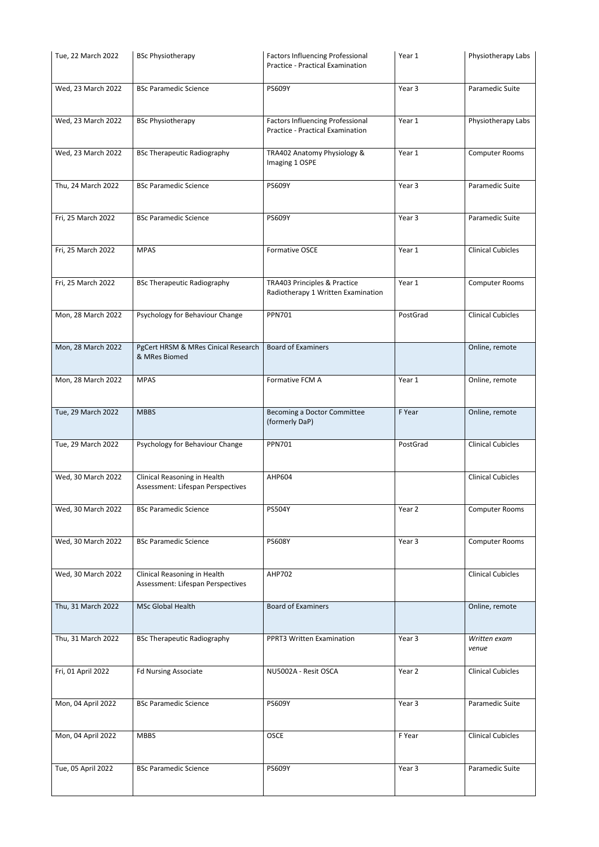| Tue, 22 March 2022 | <b>BSc Physiotherapy</b>                                          | <b>Factors Influencing Professional</b><br><b>Practice - Practical Examination</b> | Year 1   | Physiotherapy Labs       |
|--------------------|-------------------------------------------------------------------|------------------------------------------------------------------------------------|----------|--------------------------|
| Wed, 23 March 2022 | <b>BSc Paramedic Science</b>                                      | <b>PS609Y</b>                                                                      | Year 3   | Paramedic Suite          |
| Wed, 23 March 2022 | <b>BSc Physiotherapy</b>                                          | <b>Factors Influencing Professional</b><br>Practice - Practical Examination        | Year 1   | Physiotherapy Labs       |
| Wed, 23 March 2022 | <b>BSc Therapeutic Radiography</b>                                | TRA402 Anatomy Physiology &<br>Imaging 1 OSPE                                      | Year 1   | <b>Computer Rooms</b>    |
| Thu, 24 March 2022 | <b>BSc Paramedic Science</b>                                      | <b>PS609Y</b>                                                                      | Year 3   | Paramedic Suite          |
| Fri, 25 March 2022 | <b>BSc Paramedic Science</b>                                      | <b>PS609Y</b>                                                                      | Year 3   | Paramedic Suite          |
| Fri, 25 March 2022 | <b>MPAS</b>                                                       | Formative OSCE                                                                     | Year 1   | <b>Clinical Cubicles</b> |
| Fri, 25 March 2022 | <b>BSc Therapeutic Radiography</b>                                | TRA403 Principles & Practice<br>Radiotherapy 1 Written Examination                 | Year 1   | <b>Computer Rooms</b>    |
| Mon, 28 March 2022 | Psychology for Behaviour Change                                   | <b>PPN701</b>                                                                      | PostGrad | <b>Clinical Cubicles</b> |
| Mon, 28 March 2022 | PgCert HRSM & MRes Cinical Research<br>& MRes Biomed              | <b>Board of Examiners</b>                                                          |          | Online, remote           |
| Mon, 28 March 2022 | <b>MPAS</b>                                                       | Formative FCM A                                                                    | Year 1   | Online, remote           |
| Tue, 29 March 2022 | <b>MBBS</b>                                                       | Becoming a Doctor Committee<br>(formerly DaP)                                      | F Year   | Online, remote           |
| Tue, 29 March 2022 | Psychology for Behaviour Change                                   | <b>PPN701</b>                                                                      | PostGrad | <b>Clinical Cubicles</b> |
| Wed, 30 March 2022 | Clinical Reasoning in Health<br>Assessment: Lifespan Perspectives | AHP604                                                                             |          | <b>Clinical Cubicles</b> |
| Wed, 30 March 2022 | <b>BSc Paramedic Science</b>                                      | <b>PS504Y</b>                                                                      | Year 2   | <b>Computer Rooms</b>    |
| Wed, 30 March 2022 | <b>BSc Paramedic Science</b>                                      | <b>PS608Y</b>                                                                      | Year 3   | <b>Computer Rooms</b>    |
| Wed, 30 March 2022 | Clinical Reasoning in Health<br>Assessment: Lifespan Perspectives | AHP702                                                                             |          | <b>Clinical Cubicles</b> |
| Thu, 31 March 2022 | <b>MSc Global Health</b>                                          | <b>Board of Examiners</b>                                                          |          | Online, remote           |
| Thu, 31 March 2022 | <b>BSc Therapeutic Radiography</b>                                | PPRT3 Written Examination                                                          | Year 3   | Written exam<br>venue    |
| Fri, 01 April 2022 | <b>Fd Nursing Associate</b>                                       | NU5002A - Resit OSCA                                                               | Year 2   | <b>Clinical Cubicles</b> |
| Mon, 04 April 2022 | <b>BSc Paramedic Science</b>                                      | <b>PS609Y</b>                                                                      | Year 3   | Paramedic Suite          |
| Mon, 04 April 2022 | <b>MBBS</b>                                                       | <b>OSCE</b>                                                                        | F Year   | <b>Clinical Cubicles</b> |
| Tue, 05 April 2022 | <b>BSc Paramedic Science</b>                                      | PS609Y                                                                             | Year 3   | Paramedic Suite          |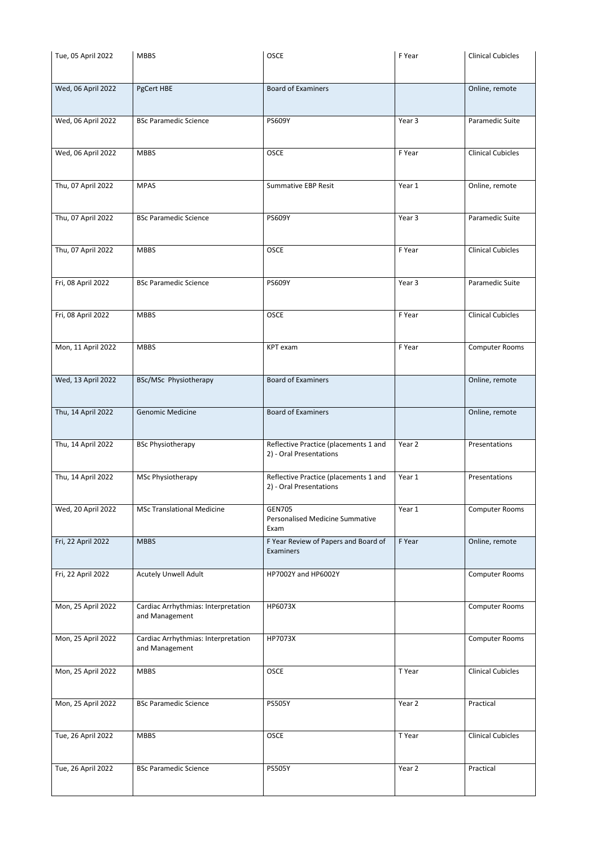| Tue, 05 April 2022 | <b>MBBS</b>                                           | <b>OSCE</b>                                                      | F Year | <b>Clinical Cubicles</b> |
|--------------------|-------------------------------------------------------|------------------------------------------------------------------|--------|--------------------------|
| Wed, 06 April 2022 | PgCert HBE                                            | <b>Board of Examiners</b>                                        |        | Online, remote           |
| Wed, 06 April 2022 | <b>BSc Paramedic Science</b>                          | <b>PS609Y</b>                                                    | Year 3 | Paramedic Suite          |
| Wed, 06 April 2022 | <b>MBBS</b>                                           | <b>OSCE</b>                                                      | F Year | <b>Clinical Cubicles</b> |
| Thu, 07 April 2022 | <b>MPAS</b>                                           | <b>Summative EBP Resit</b>                                       | Year 1 | Online, remote           |
| Thu, 07 April 2022 | <b>BSc Paramedic Science</b>                          | <b>PS609Y</b>                                                    | Year 3 | Paramedic Suite          |
| Thu, 07 April 2022 | <b>MBBS</b>                                           | <b>OSCE</b>                                                      | F Year | <b>Clinical Cubicles</b> |
| Fri, 08 April 2022 | <b>BSc Paramedic Science</b>                          | <b>PS609Y</b>                                                    | Year 3 | Paramedic Suite          |
| Fri, 08 April 2022 | <b>MBBS</b>                                           | <b>OSCE</b>                                                      | F Year | <b>Clinical Cubicles</b> |
| Mon, 11 April 2022 | <b>MBBS</b>                                           | KPT exam                                                         | F Year | Computer Rooms           |
| Wed, 13 April 2022 | BSc/MSc Physiotherapy                                 | <b>Board of Examiners</b>                                        |        | Online, remote           |
| Thu, 14 April 2022 | <b>Genomic Medicine</b>                               | <b>Board of Examiners</b>                                        |        | Online, remote           |
| Thu, 14 April 2022 | <b>BSc Physiotherapy</b>                              | Reflective Practice (placements 1 and<br>2) - Oral Presentations | Year 2 | Presentations            |
| Thu, 14 April 2022 | <b>MSc Physiotherapy</b>                              | Reflective Practice (placements 1 and<br>2) - Oral Presentations | Year 1 | Presentations            |
| Wed, 20 April 2022 | <b>MSc Translational Medicine</b>                     | <b>GEN705</b><br><b>Personalised Medicine Summative</b><br>Exam  | Year 1 | <b>Computer Rooms</b>    |
| Fri, 22 April 2022 | <b>MBBS</b>                                           | F Year Review of Papers and Board of<br>Examiners                | F Year | Online, remote           |
| Fri, 22 April 2022 | <b>Acutely Unwell Adult</b>                           | HP7002Y and HP6002Y                                              |        | <b>Computer Rooms</b>    |
| Mon, 25 April 2022 | Cardiac Arrhythmias: Interpretation<br>and Management | HP6073X                                                          |        | <b>Computer Rooms</b>    |
| Mon, 25 April 2022 | Cardiac Arrhythmias: Interpretation<br>and Management | HP7073X                                                          |        | <b>Computer Rooms</b>    |
| Mon, 25 April 2022 | <b>MBBS</b>                                           | <b>OSCE</b>                                                      | T Year | <b>Clinical Cubicles</b> |
| Mon, 25 April 2022 | <b>BSc Paramedic Science</b>                          | <b>PS505Y</b>                                                    | Year 2 | Practical                |
| Tue, 26 April 2022 | <b>MBBS</b>                                           | OSCE                                                             | T Year | <b>Clinical Cubicles</b> |
| Tue, 26 April 2022 | <b>BSc Paramedic Science</b>                          | <b>PS505Y</b>                                                    | Year 2 | Practical                |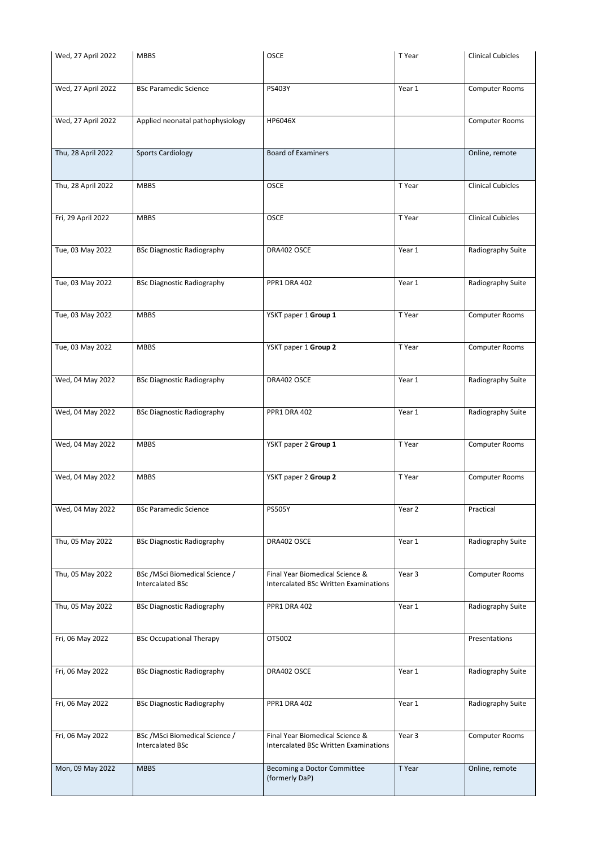| Wed, 27 April 2022 | <b>MBBS</b>                                                | <b>OSCE</b>                                                                     | T Year | <b>Clinical Cubicles</b> |
|--------------------|------------------------------------------------------------|---------------------------------------------------------------------------------|--------|--------------------------|
|                    |                                                            |                                                                                 |        |                          |
| Wed, 27 April 2022 | <b>BSc Paramedic Science</b>                               | PS403Y                                                                          | Year 1 | <b>Computer Rooms</b>    |
| Wed, 27 April 2022 | Applied neonatal pathophysiology                           | HP6046X                                                                         |        | <b>Computer Rooms</b>    |
| Thu, 28 April 2022 | <b>Sports Cardiology</b>                                   | <b>Board of Examiners</b>                                                       |        | Online, remote           |
| Thu, 28 April 2022 | <b>MBBS</b>                                                | <b>OSCE</b>                                                                     | T Year | <b>Clinical Cubicles</b> |
| Fri, 29 April 2022 | <b>MBBS</b>                                                | <b>OSCE</b>                                                                     | T Year | <b>Clinical Cubicles</b> |
| Tue, 03 May 2022   | <b>BSc Diagnostic Radiography</b>                          | DRA402 OSCE                                                                     | Year 1 | Radiography Suite        |
| Tue, 03 May 2022   | <b>BSc Diagnostic Radiography</b>                          | <b>PPR1 DRA 402</b>                                                             | Year 1 | Radiography Suite        |
| Tue, 03 May 2022   | <b>MBBS</b>                                                | YSKT paper 1 Group 1                                                            | T Year | <b>Computer Rooms</b>    |
| Tue, 03 May 2022   | <b>MBBS</b>                                                | YSKT paper 1 Group 2                                                            | T Year | Computer Rooms           |
| Wed, 04 May 2022   | <b>BSc Diagnostic Radiography</b>                          | DRA402 OSCE                                                                     | Year 1 | Radiography Suite        |
| Wed, 04 May 2022   | <b>BSc Diagnostic Radiography</b>                          | PPR1 DRA 402                                                                    | Year 1 | Radiography Suite        |
| Wed, 04 May 2022   | <b>MBBS</b>                                                | YSKT paper 2 Group 1                                                            | T Year | <b>Computer Rooms</b>    |
| Wed, 04 May 2022   | <b>MBBS</b>                                                | YSKT paper 2 Group 2                                                            | T Year | <b>Computer Rooms</b>    |
| Wed, 04 May 2022   | <b>BSc Paramedic Science</b>                               | <b>PS505Y</b>                                                                   | Year 2 | Practical                |
| Thu, 05 May 2022   | <b>BSc Diagnostic Radiography</b>                          | DRA402 OSCE                                                                     | Year 1 | Radiography Suite        |
| Thu, 05 May 2022   | BSc / MSci Biomedical Science /<br><b>Intercalated BSc</b> | Final Year Biomedical Science &<br>Intercalated BSc Written Examinations        | Year 3 | <b>Computer Rooms</b>    |
| Thu, 05 May 2022   | <b>BSc Diagnostic Radiography</b>                          | <b>PPR1 DRA 402</b>                                                             | Year 1 | Radiography Suite        |
| Fri, 06 May 2022   | <b>BSc Occupational Therapy</b>                            | OT5002                                                                          |        | Presentations            |
| Fri, 06 May 2022   | <b>BSc Diagnostic Radiography</b>                          | DRA402 OSCE                                                                     | Year 1 | Radiography Suite        |
| Fri, 06 May 2022   | <b>BSc Diagnostic Radiography</b>                          | <b>PPR1 DRA 402</b>                                                             | Year 1 | Radiography Suite        |
| Fri, 06 May 2022   | BSc / MSci Biomedical Science /<br><b>Intercalated BSc</b> | Final Year Biomedical Science &<br><b>Intercalated BSc Written Examinations</b> | Year 3 | <b>Computer Rooms</b>    |
| Mon, 09 May 2022   | <b>MBBS</b>                                                | Becoming a Doctor Committee<br>(formerly DaP)                                   | T Year | Online, remote           |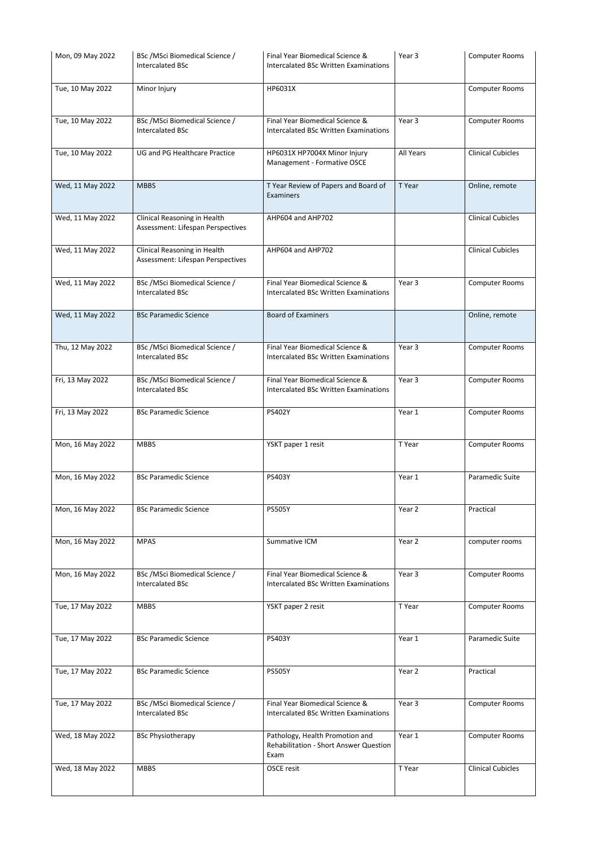| Mon, 09 May 2022 | BSc / MSci Biomedical Science /<br><b>Intercalated BSc</b>        | Final Year Biomedical Science &<br>Intercalated BSc Written Examinations          | Year 3            | <b>Computer Rooms</b>    |
|------------------|-------------------------------------------------------------------|-----------------------------------------------------------------------------------|-------------------|--------------------------|
| Tue, 10 May 2022 | Minor Injury                                                      | HP6031X                                                                           |                   | Computer Rooms           |
| Tue, 10 May 2022 | BSc /MSci Biomedical Science /<br><b>Intercalated BSc</b>         | Final Year Biomedical Science &<br>Intercalated BSc Written Examinations          | Year <sub>3</sub> | <b>Computer Rooms</b>    |
| Tue, 10 May 2022 | <b>UG and PG Healthcare Practice</b>                              | HP6031X HP7004X Minor Injury<br>Management - Formative OSCE                       | All Years         | <b>Clinical Cubicles</b> |
| Wed, 11 May 2022 | <b>MBBS</b>                                                       | T Year Review of Papers and Board of<br>Examiners                                 | T Year            | Online, remote           |
| Wed, 11 May 2022 | Clinical Reasoning in Health<br>Assessment: Lifespan Perspectives | AHP604 and AHP702                                                                 |                   | <b>Clinical Cubicles</b> |
| Wed, 11 May 2022 | Clinical Reasoning in Health<br>Assessment: Lifespan Perspectives | AHP604 and AHP702                                                                 |                   | <b>Clinical Cubicles</b> |
| Wed, 11 May 2022 | BSc / MSci Biomedical Science /<br><b>Intercalated BSc</b>        | Final Year Biomedical Science &<br>Intercalated BSc Written Examinations          | Year <sub>3</sub> | <b>Computer Rooms</b>    |
| Wed, 11 May 2022 | <b>BSc Paramedic Science</b>                                      | <b>Board of Examiners</b>                                                         |                   | Online, remote           |
| Thu, 12 May 2022 | BSc / MSci Biomedical Science /<br><b>Intercalated BSc</b>        | Final Year Biomedical Science &<br>Intercalated BSc Written Examinations          | Year 3            | Computer Rooms           |
| Fri, 13 May 2022 | BSc / MSci Biomedical Science /<br><b>Intercalated BSc</b>        | Final Year Biomedical Science &<br>Intercalated BSc Written Examinations          | Year 3            | <b>Computer Rooms</b>    |
| Fri, 13 May 2022 | <b>BSc Paramedic Science</b>                                      | <b>PS402Y</b>                                                                     | Year 1            | <b>Computer Rooms</b>    |
| Mon, 16 May 2022 | <b>MBBS</b>                                                       | YSKT paper 1 resit                                                                | T Year            | <b>Computer Rooms</b>    |
| Mon, 16 May 2022 | <b>BSc Paramedic Science</b>                                      | <b>PS403Y</b>                                                                     | Year 1            | Paramedic Suite          |
| Mon, 16 May 2022 | <b>BSc Paramedic Science</b>                                      | <b>PS505Y</b>                                                                     | Year 2            | Practical                |
| Mon, 16 May 2022 | <b>MPAS</b>                                                       | Summative ICM                                                                     | Year 2            | computer rooms           |
| Mon, 16 May 2022 | BSc / MSci Biomedical Science /<br><b>Intercalated BSc</b>        | Final Year Biomedical Science &<br>Intercalated BSc Written Examinations          | Year 3            | <b>Computer Rooms</b>    |
| Tue, 17 May 2022 | <b>MBBS</b>                                                       | YSKT paper 2 resit                                                                | T Year            | <b>Computer Rooms</b>    |
| Tue, 17 May 2022 | <b>BSc Paramedic Science</b>                                      | PS403Y                                                                            | Year 1            | Paramedic Suite          |
| Tue, 17 May 2022 | <b>BSc Paramedic Science</b>                                      | <b>PS505Y</b>                                                                     | Year 2            | Practical                |
| Tue, 17 May 2022 | BSc / MSci Biomedical Science /<br><b>Intercalated BSc</b>        | Final Year Biomedical Science &<br>Intercalated BSc Written Examinations          | Year 3            | <b>Computer Rooms</b>    |
| Wed, 18 May 2022 | <b>BSc Physiotherapy</b>                                          | Pathology, Health Promotion and<br>Rehabilitation - Short Answer Question<br>Exam | Year 1            | <b>Computer Rooms</b>    |
| Wed, 18 May 2022 | <b>MBBS</b>                                                       | OSCE resit                                                                        | T Year            | <b>Clinical Cubicles</b> |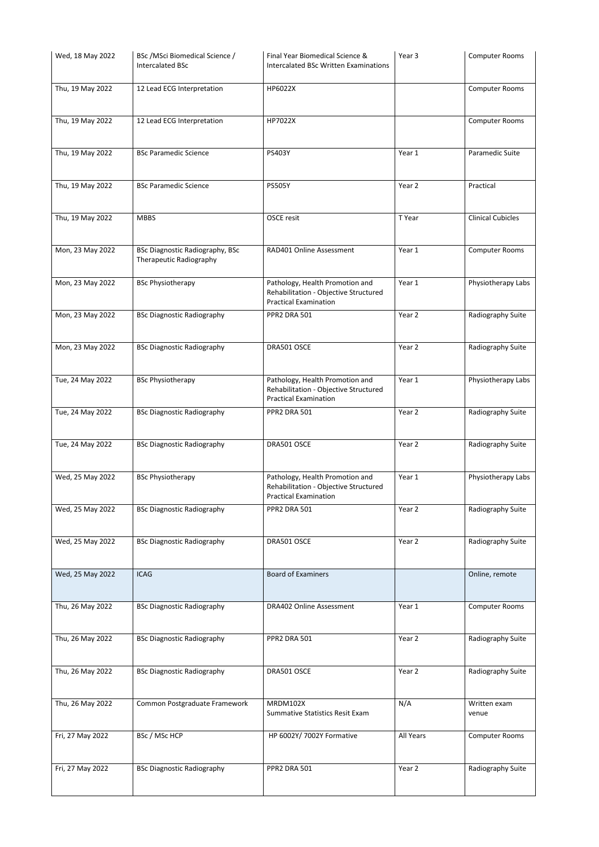| Wed, 18 May 2022 | BSc / MSci Biomedical Science /<br><b>Intercalated BSc</b>        | Final Year Biomedical Science &<br>Intercalated BSc Written Examinations                                 | Year 3    | <b>Computer Rooms</b>    |
|------------------|-------------------------------------------------------------------|----------------------------------------------------------------------------------------------------------|-----------|--------------------------|
| Thu, 19 May 2022 | 12 Lead ECG Interpretation                                        | HP6022X                                                                                                  |           | <b>Computer Rooms</b>    |
| Thu, 19 May 2022 | 12 Lead ECG Interpretation                                        | HP7022X                                                                                                  |           | Computer Rooms           |
| Thu, 19 May 2022 | <b>BSc Paramedic Science</b>                                      | PS403Y                                                                                                   | Year 1    | Paramedic Suite          |
| Thu, 19 May 2022 | <b>BSc Paramedic Science</b>                                      | <b>PS505Y</b>                                                                                            | Year 2    | Practical                |
| Thu, 19 May 2022 | <b>MBBS</b>                                                       | OSCE resit                                                                                               | T Year    | <b>Clinical Cubicles</b> |
| Mon, 23 May 2022 | <b>BSc Diagnostic Radiography, BSc</b><br>Therapeutic Radiography | RAD401 Online Assessment                                                                                 | Year 1    | <b>Computer Rooms</b>    |
| Mon, 23 May 2022 | <b>BSc Physiotherapy</b>                                          | Pathology, Health Promotion and<br>Rehabilitation - Objective Structured<br><b>Practical Examination</b> | Year 1    | Physiotherapy Labs       |
| Mon, 23 May 2022 | <b>BSc Diagnostic Radiography</b>                                 | <b>PPR2 DRA 501</b>                                                                                      | Year 2    | Radiography Suite        |
| Mon, 23 May 2022 | <b>BSc Diagnostic Radiography</b>                                 | DRA501 OSCE                                                                                              | Year 2    | Radiography Suite        |
| Tue, 24 May 2022 | <b>BSc Physiotherapy</b>                                          | Pathology, Health Promotion and<br>Rehabilitation - Objective Structured<br><b>Practical Examination</b> | Year 1    | Physiotherapy Labs       |
| Tue, 24 May 2022 | <b>BSc Diagnostic Radiography</b>                                 | PPR2 DRA 501                                                                                             | Year 2    | Radiography Suite        |
| Tue, 24 May 2022 | <b>BSc Diagnostic Radiography</b>                                 | DRA501 OSCE                                                                                              | Year 2    | Radiography Suite        |
| Wed, 25 May 2022 | <b>BSc Physiotherapy</b>                                          | Pathology, Health Promotion and<br>Rehabilitation - Objective Structured<br><b>Practical Examination</b> | Year 1    | Physiotherapy Labs       |
| Wed, 25 May 2022 | <b>BSc Diagnostic Radiography</b>                                 | PPR2 DRA 501                                                                                             | Year 2    | Radiography Suite        |
| Wed, 25 May 2022 | <b>BSc Diagnostic Radiography</b>                                 | DRA501 OSCE                                                                                              | Year 2    | Radiography Suite        |
| Wed, 25 May 2022 | <b>ICAG</b>                                                       | <b>Board of Examiners</b>                                                                                |           | Online, remote           |
| Thu, 26 May 2022 | <b>BSc Diagnostic Radiography</b>                                 | <b>DRA402 Online Assessment</b>                                                                          | Year 1    | <b>Computer Rooms</b>    |
| Thu, 26 May 2022 | <b>BSc Diagnostic Radiography</b>                                 | PPR2 DRA 501                                                                                             | Year 2    | Radiography Suite        |
| Thu, 26 May 2022 | <b>BSc Diagnostic Radiography</b>                                 | DRA501 OSCE                                                                                              | Year 2    | Radiography Suite        |
| Thu, 26 May 2022 | Common Postgraduate Framework                                     | <b>MRDM102X</b><br><b>Summative Statistics Resit Exam</b>                                                | N/A       | Written exam<br>venue    |
| Fri, 27 May 2022 | BSc / MSc HCP                                                     | HP 6002Y/ 7002Y Formative                                                                                | All Years | <b>Computer Rooms</b>    |
| Fri, 27 May 2022 | <b>BSc Diagnostic Radiography</b>                                 | <b>PPR2 DRA 501</b>                                                                                      | Year 2    | Radiography Suite        |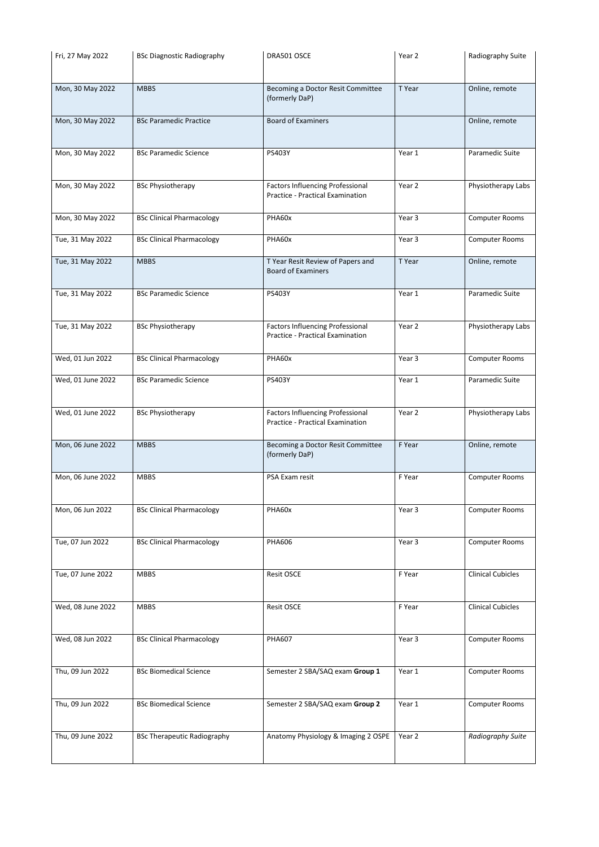| Fri, 27 May 2022  | <b>BSc Diagnostic Radiography</b> | DRA501 OSCE                                                                        | Year 2            | Radiography Suite        |
|-------------------|-----------------------------------|------------------------------------------------------------------------------------|-------------------|--------------------------|
| Mon, 30 May 2022  | <b>MBBS</b>                       | Becoming a Doctor Resit Committee<br>(formerly DaP)                                | T Year            | Online, remote           |
| Mon, 30 May 2022  | <b>BSc Paramedic Practice</b>     | <b>Board of Examiners</b>                                                          |                   | Online, remote           |
| Mon, 30 May 2022  | <b>BSc Paramedic Science</b>      | PS403Y                                                                             | Year 1            | Paramedic Suite          |
| Mon, 30 May 2022  | <b>BSc Physiotherapy</b>          | <b>Factors Influencing Professional</b><br><b>Practice - Practical Examination</b> | Year 2            | Physiotherapy Labs       |
| Mon, 30 May 2022  | <b>BSc Clinical Pharmacology</b>  | PHA60x                                                                             | Year 3            | <b>Computer Rooms</b>    |
| Tue, 31 May 2022  | <b>BSc Clinical Pharmacology</b>  | PHA60x                                                                             | Year 3            | <b>Computer Rooms</b>    |
| Tue, 31 May 2022  | <b>MBBS</b>                       | T Year Resit Review of Papers and<br><b>Board of Examiners</b>                     | T Year            | Online, remote           |
| Tue, 31 May 2022  | <b>BSc Paramedic Science</b>      | PS403Y                                                                             | Year 1            | Paramedic Suite          |
| Tue, 31 May 2022  | <b>BSc Physiotherapy</b>          | <b>Factors Influencing Professional</b><br>Practice - Practical Examination        | Year 2            | Physiotherapy Labs       |
| Wed, 01 Jun 2022  | <b>BSc Clinical Pharmacology</b>  | PHA60x                                                                             | Year <sub>3</sub> | Computer Rooms           |
| Wed, 01 June 2022 | <b>BSc Paramedic Science</b>      | PS403Y                                                                             | Year 1            | Paramedic Suite          |
| Wed, 01 June 2022 | <b>BSc Physiotherapy</b>          | <b>Factors Influencing Professional</b><br><b>Practice - Practical Examination</b> | Year 2            | Physiotherapy Labs       |
| Mon, 06 June 2022 | <b>MBBS</b>                       | Becoming a Doctor Resit Committee<br>(formerly DaP)                                | F Year            | Online, remote           |
| Mon, 06 June 2022 | <b>MBBS</b>                       | PSA Exam resit                                                                     | F Year            | <b>Computer Rooms</b>    |
| Mon, 06 Jun 2022  | <b>BSc Clinical Pharmacology</b>  | PHA60x                                                                             | Year 3            | <b>Computer Rooms</b>    |
| Tue, 07 Jun 2022  | <b>BSc Clinical Pharmacology</b>  | <b>PHA606</b>                                                                      | Year 3            | <b>Computer Rooms</b>    |
| Tue, 07 June 2022 | <b>MBBS</b>                       | <b>Resit OSCE</b>                                                                  | F Year            | <b>Clinical Cubicles</b> |
| Wed, 08 June 2022 | <b>MBBS</b>                       | <b>Resit OSCE</b>                                                                  | F Year            | <b>Clinical Cubicles</b> |
| Wed, 08 Jun 2022  | <b>BSc Clinical Pharmacology</b>  | <b>PHA607</b>                                                                      | Year <sub>3</sub> | <b>Computer Rooms</b>    |
| Thu, 09 Jun 2022  |                                   |                                                                                    |                   | <b>Computer Rooms</b>    |
|                   | <b>BSc Biomedical Science</b>     | Semester 2 SBA/SAQ exam Group 1                                                    | Year 1            |                          |
| Thu, 09 Jun 2022  | <b>BSc Biomedical Science</b>     | Semester 2 SBA/SAQ exam Group 2                                                    | Year 1            | <b>Computer Rooms</b>    |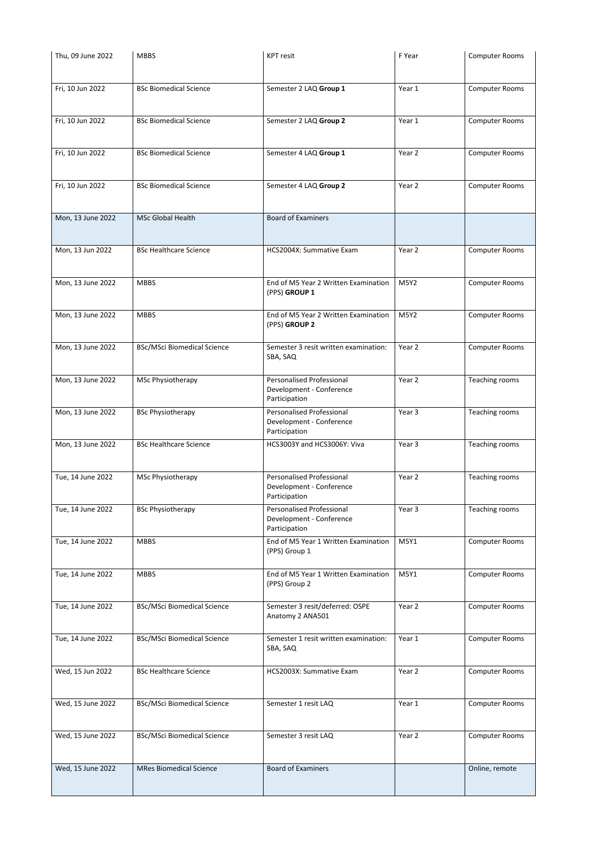| Thu, 09 June 2022 | <b>MBBS</b>                        | <b>KPT</b> resit                                                              | F Year            | <b>Computer Rooms</b> |
|-------------------|------------------------------------|-------------------------------------------------------------------------------|-------------------|-----------------------|
|                   |                                    |                                                                               |                   |                       |
| Fri, 10 Jun 2022  | <b>BSc Biomedical Science</b>      | Semester 2 LAQ Group 1                                                        | Year 1            | <b>Computer Rooms</b> |
|                   |                                    |                                                                               |                   |                       |
| Fri, 10 Jun 2022  | <b>BSc Biomedical Science</b>      | Semester 2 LAQ Group 2                                                        | Year 1            | Computer Rooms        |
| Fri, 10 Jun 2022  | <b>BSc Biomedical Science</b>      | Semester 4 LAQ Group 1                                                        | Year 2            | <b>Computer Rooms</b> |
|                   |                                    |                                                                               |                   |                       |
| Fri, 10 Jun 2022  | <b>BSc Biomedical Science</b>      | Semester 4 LAQ Group 2                                                        | Year 2            | <b>Computer Rooms</b> |
| Mon, 13 June 2022 | <b>MSc Global Health</b>           | <b>Board of Examiners</b>                                                     |                   |                       |
| Mon, 13 Jun 2022  | <b>BSc Healthcare Science</b>      | HCS2004X: Summative Exam                                                      | Year 2            | <b>Computer Rooms</b> |
| Mon, 13 June 2022 | <b>MBBS</b>                        | End of M5 Year 2 Written Examination<br>(PPS) GROUP 1                         | <b>M5Y2</b>       | <b>Computer Rooms</b> |
| Mon, 13 June 2022 | <b>MBBS</b>                        | End of M5 Year 2 Written Examination<br>(PPS) GROUP 2                         | <b>M5Y2</b>       | <b>Computer Rooms</b> |
| Mon, 13 June 2022 | <b>BSc/MSci Biomedical Science</b> | Semester 3 resit written examination:<br>SBA, SAQ                             | Year 2            | <b>Computer Rooms</b> |
| Mon, 13 June 2022 | <b>MSc Physiotherapy</b>           | <b>Personalised Professional</b><br>Development - Conference<br>Participation | Year 2            | Teaching rooms        |
| Mon, 13 June 2022 | <b>BSc Physiotherapy</b>           | <b>Personalised Professional</b><br>Development - Conference<br>Participation | Year <sub>3</sub> | Teaching rooms        |
| Mon, 13 June 2022 | <b>BSc Healthcare Science</b>      | HCS3003Y and HCS3006Y: Viva                                                   | Year <sub>3</sub> | Teaching rooms        |
| Tue, 14 June 2022 | MSc Physiotherapy                  | <b>Personalised Professional</b><br>Development - Conference<br>Participation | Year 2            | Teaching rooms        |
| Tue, 14 June 2022 | <b>BSc Physiotherapy</b>           | Personalised Professional<br>Development - Conference<br>Participation        | Year <sub>3</sub> | Teaching rooms        |
| Tue, 14 June 2022 | <b>MBBS</b>                        | End of M5 Year 1 Written Examination<br>(PPS) Group 1                         | M5Y1              | <b>Computer Rooms</b> |
| Tue, 14 June 2022 | <b>MBBS</b>                        | End of M5 Year 1 Written Examination<br>(PPS) Group 2                         | M5Y1              | <b>Computer Rooms</b> |
| Tue, 14 June 2022 | <b>BSc/MSci Biomedical Science</b> | Semester 3 resit/deferred: OSPE<br>Anatomy 2 ANA501                           | Year 2            | <b>Computer Rooms</b> |
| Tue, 14 June 2022 | <b>BSc/MSci Biomedical Science</b> | Semester 1 resit written examination:<br>SBA, SAQ                             | Year 1            | <b>Computer Rooms</b> |
| Wed, 15 Jun 2022  | <b>BSc Healthcare Science</b>      | HCS2003X: Summative Exam                                                      | Year 2            | <b>Computer Rooms</b> |
| Wed, 15 June 2022 | <b>BSc/MSci Biomedical Science</b> | Semester 1 resit LAQ                                                          | Year 1            | <b>Computer Rooms</b> |
| Wed, 15 June 2022 | <b>BSc/MSci Biomedical Science</b> | Semester 3 resit LAQ                                                          | Year 2            | <b>Computer Rooms</b> |
| Wed, 15 June 2022 | <b>MRes Biomedical Science</b>     | <b>Board of Examiners</b>                                                     |                   | Online, remote        |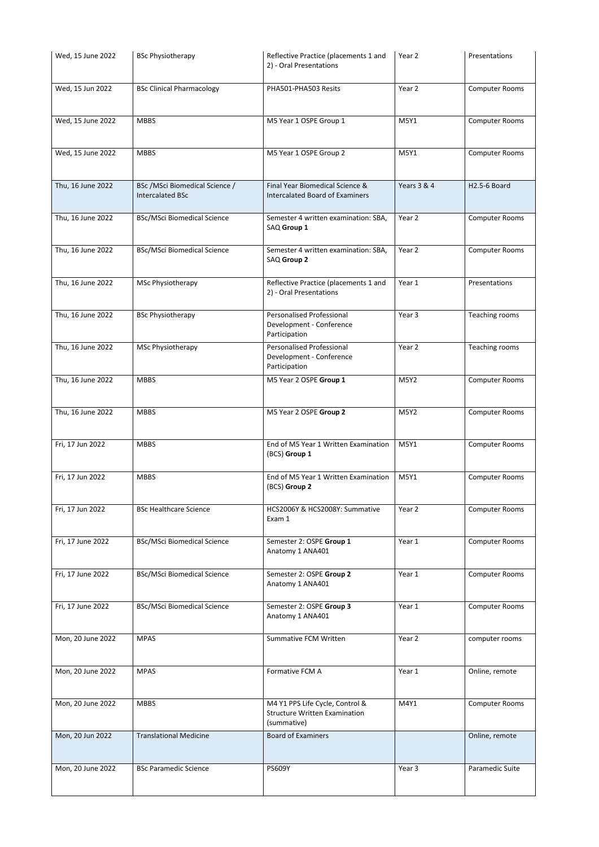| Wed, 15 June 2022 | <b>BSc Physiotherapy</b>                                   | Reflective Practice (placements 1 and<br>2) - Oral Presentations                       | Year 2            | Presentations         |
|-------------------|------------------------------------------------------------|----------------------------------------------------------------------------------------|-------------------|-----------------------|
| Wed, 15 Jun 2022  | <b>BSc Clinical Pharmacology</b>                           | PHA501-PHA503 Resits                                                                   | Year 2            | <b>Computer Rooms</b> |
| Wed, 15 June 2022 | <b>MBBS</b>                                                | M5 Year 1 OSPE Group 1                                                                 | M5Y1              | <b>Computer Rooms</b> |
| Wed, 15 June 2022 | <b>MBBS</b>                                                | M5 Year 1 OSPE Group 2                                                                 | <b>M5Y1</b>       | <b>Computer Rooms</b> |
| Thu, 16 June 2022 | BSc / MSci Biomedical Science /<br><b>Intercalated BSc</b> | Final Year Biomedical Science &<br><b>Intercalated Board of Examiners</b>              | Years 3 & 4       | H2.5-6 Board          |
| Thu, 16 June 2022 | <b>BSc/MSci Biomedical Science</b>                         | Semester 4 written examination: SBA,<br>SAQ Group 1                                    | Year 2            | <b>Computer Rooms</b> |
| Thu, 16 June 2022 | <b>BSc/MSci Biomedical Science</b>                         | Semester 4 written examination: SBA,<br>SAQ Group 2                                    | Year 2            | <b>Computer Rooms</b> |
| Thu, 16 June 2022 | MSc Physiotherapy                                          | Reflective Practice (placements 1 and<br>2) - Oral Presentations                       | Year 1            | Presentations         |
| Thu, 16 June 2022 | <b>BSc Physiotherapy</b>                                   | <b>Personalised Professional</b><br>Development - Conference<br>Participation          | Year 3            | Teaching rooms        |
| Thu, 16 June 2022 | MSc Physiotherapy                                          | <b>Personalised Professional</b><br>Development - Conference<br>Participation          | Year 2            | Teaching rooms        |
| Thu, 16 June 2022 | <b>MBBS</b>                                                | M5 Year 2 OSPE Group 1                                                                 | <b>M5Y2</b>       | <b>Computer Rooms</b> |
| Thu, 16 June 2022 | <b>MBBS</b>                                                | M5 Year 2 OSPE Group 2                                                                 | <b>M5Y2</b>       | <b>Computer Rooms</b> |
| Fri, 17 Jun 2022  | <b>MBBS</b>                                                | End of M5 Year 1 Written Examination<br>(BCS) Group 1                                  | <b>M5Y1</b>       | <b>Computer Rooms</b> |
| Fri, 17 Jun 2022  | <b>MBBS</b>                                                | End of M5 Year 1 Written Examination<br>(BCS) Group 2                                  | <b>M5Y1</b>       | <b>Computer Rooms</b> |
| Fri, 17 Jun 2022  | <b>BSc Healthcare Science</b>                              | HCS2006Y & HCS2008Y: Summative<br>Exam 1                                               | Year 2            | <b>Computer Rooms</b> |
| Fri, 17 June 2022 | <b>BSc/MSci Biomedical Science</b>                         | Semester 2: OSPE Group 1<br>Anatomy 1 ANA401                                           | Year 1            | <b>Computer Rooms</b> |
| Fri, 17 June 2022 | <b>BSc/MSci Biomedical Science</b>                         | Semester 2: OSPE Group 2<br>Anatomy 1 ANA401                                           | Year 1            | <b>Computer Rooms</b> |
| Fri, 17 June 2022 | <b>BSc/MSci Biomedical Science</b>                         | Semester 2: OSPE Group 3<br>Anatomy 1 ANA401                                           | Year 1            | <b>Computer Rooms</b> |
| Mon, 20 June 2022 | <b>MPAS</b>                                                | <b>Summative FCM Written</b>                                                           | Year <sub>2</sub> | computer rooms        |
| Mon, 20 June 2022 | <b>MPAS</b>                                                | Formative FCM A                                                                        | Year 1            | Online, remote        |
| Mon, 20 June 2022 | <b>MBBS</b>                                                | M4 Y1 PPS Life Cycle, Control &<br><b>Structure Written Examination</b><br>(summative) | M4Y1              | <b>Computer Rooms</b> |
| Mon, 20 Jun 2022  | <b>Translational Medicine</b>                              | <b>Board of Examiners</b>                                                              |                   | Online, remote        |
| Mon, 20 June 2022 | <b>BSc Paramedic Science</b>                               | <b>PS609Y</b>                                                                          | Year 3            | Paramedic Suite       |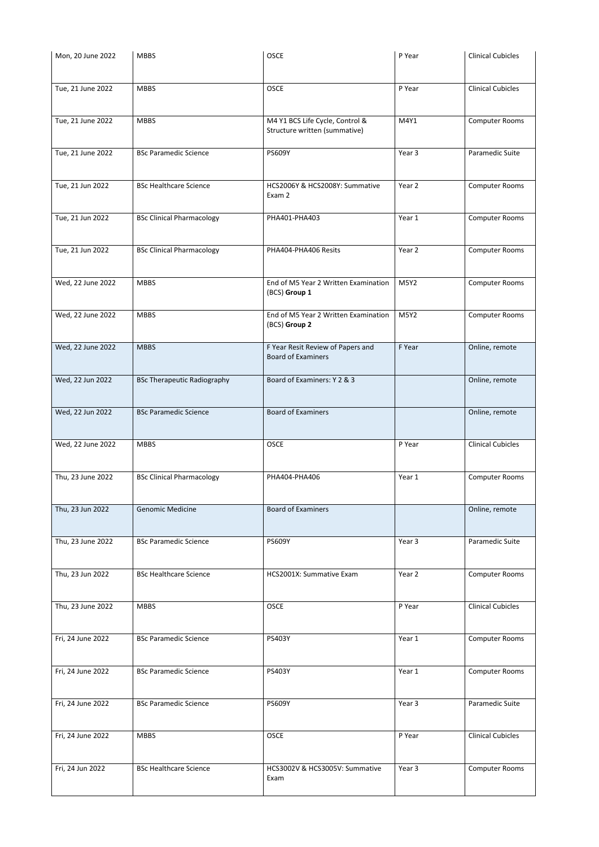| Mon, 20 June 2022 | <b>MBBS</b>                        | <b>OSCE</b>                                           | P Year      | <b>Clinical Cubicles</b> |
|-------------------|------------------------------------|-------------------------------------------------------|-------------|--------------------------|
|                   |                                    |                                                       |             |                          |
|                   |                                    |                                                       |             |                          |
| Tue, 21 June 2022 | <b>MBBS</b>                        | <b>OSCE</b>                                           | P Year      | <b>Clinical Cubicles</b> |
| Tue, 21 June 2022 | <b>MBBS</b>                        | M4 Y1 BCS Life Cycle, Control &                       | M4Y1        | Computer Rooms           |
|                   |                                    | Structure written (summative)                         |             |                          |
| Tue, 21 June 2022 | <b>BSc Paramedic Science</b>       | <b>PS609Y</b>                                         | Year 3      | Paramedic Suite          |
|                   |                                    |                                                       |             |                          |
| Tue, 21 Jun 2022  | <b>BSc Healthcare Science</b>      | HCS2006Y & HCS2008Y: Summative                        | Year 2      | <b>Computer Rooms</b>    |
|                   |                                    | Exam 2                                                |             |                          |
| Tue, 21 Jun 2022  | <b>BSc Clinical Pharmacology</b>   | PHA401-PHA403                                         | Year 1      | <b>Computer Rooms</b>    |
|                   |                                    |                                                       |             |                          |
| Tue, 21 Jun 2022  | <b>BSc Clinical Pharmacology</b>   | PHA404-PHA406 Resits                                  | Year 2      | <b>Computer Rooms</b>    |
|                   |                                    |                                                       |             |                          |
| Wed, 22 June 2022 | <b>MBBS</b>                        | End of M5 Year 2 Written Examination                  | <b>M5Y2</b> | <b>Computer Rooms</b>    |
|                   |                                    | (BCS) Group 1                                         |             |                          |
|                   |                                    |                                                       |             |                          |
| Wed, 22 June 2022 | <b>MBBS</b>                        | End of M5 Year 2 Written Examination<br>(BCS) Group 2 | <b>M5Y2</b> | <b>Computer Rooms</b>    |
|                   |                                    |                                                       |             |                          |
| Wed, 22 June 2022 | <b>MBBS</b>                        | F Year Resit Review of Papers and                     | F Year      | Online, remote           |
|                   |                                    | <b>Board of Examiners</b>                             |             |                          |
| Wed, 22 Jun 2022  | <b>BSc Therapeutic Radiography</b> | Board of Examiners: Y 2 & 3                           |             | Online, remote           |
|                   |                                    |                                                       |             |                          |
|                   |                                    |                                                       |             |                          |
| Wed, 22 Jun 2022  | <b>BSc Paramedic Science</b>       | <b>Board of Examiners</b>                             |             | Online, remote           |
|                   |                                    |                                                       |             |                          |
| Wed, 22 June 2022 | <b>MBBS</b>                        | <b>OSCE</b>                                           | P Year      | <b>Clinical Cubicles</b> |
|                   |                                    |                                                       |             |                          |
| Thu, 23 June 2022 | <b>BSc Clinical Pharmacology</b>   | PHA404-PHA406                                         | Year 1      | <b>Computer Rooms</b>    |
|                   |                                    |                                                       |             |                          |
|                   |                                    |                                                       |             |                          |
| Thu, 23 Jun 2022  | <b>Genomic Medicine</b>            | <b>Board of Examiners</b>                             |             | Online, remote           |
|                   |                                    |                                                       |             |                          |
| Thu, 23 June 2022 |                                    |                                                       |             |                          |
|                   | <b>BSc Paramedic Science</b>       | <b>PS609Y</b>                                         | Year 3      | Paramedic Suite          |
|                   |                                    |                                                       |             |                          |
|                   |                                    |                                                       |             |                          |
| Thu, 23 Jun 2022  | <b>BSc Healthcare Science</b>      | HCS2001X: Summative Exam                              | Year 2      | <b>Computer Rooms</b>    |
|                   |                                    |                                                       |             |                          |
| Thu, 23 June 2022 | <b>MBBS</b>                        | <b>OSCE</b>                                           | P Year      | <b>Clinical Cubicles</b> |
|                   |                                    |                                                       |             |                          |
| Fri, 24 June 2022 | <b>BSc Paramedic Science</b>       | PS403Y                                                | Year 1      | <b>Computer Rooms</b>    |
|                   |                                    |                                                       |             |                          |
|                   |                                    |                                                       |             |                          |
| Fri, 24 June 2022 | <b>BSc Paramedic Science</b>       | PS403Y                                                | Year 1      | Computer Rooms           |
|                   |                                    |                                                       |             |                          |
| Fri, 24 June 2022 | <b>BSc Paramedic Science</b>       | PS609Y                                                | Year 3      | Paramedic Suite          |
|                   |                                    |                                                       |             |                          |
| Fri, 24 June 2022 | <b>MBBS</b>                        | OSCE                                                  | P Year      | <b>Clinical Cubicles</b> |
|                   |                                    |                                                       |             |                          |
|                   | <b>BSc Healthcare Science</b>      | HCS3002V & HCS3005V: Summative                        |             |                          |
| Fri, 24 Jun 2022  |                                    | Exam                                                  | Year 3      | Computer Rooms           |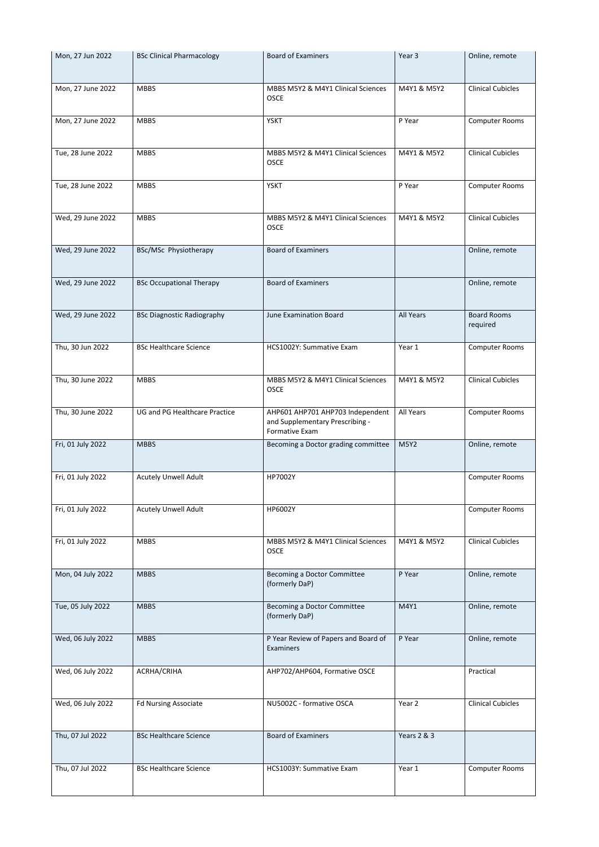| Mon, 27 Jun 2022  | <b>BSc Clinical Pharmacology</b>     | <b>Board of Examiners</b>                                                             | Year <sub>3</sub> | Online, remote                 |
|-------------------|--------------------------------------|---------------------------------------------------------------------------------------|-------------------|--------------------------------|
| Mon, 27 June 2022 | <b>MBBS</b>                          | MBBS M5Y2 & M4Y1 Clinical Sciences<br><b>OSCE</b>                                     | M4Y1 & M5Y2       | <b>Clinical Cubicles</b>       |
| Mon, 27 June 2022 | <b>MBBS</b>                          | <b>YSKT</b>                                                                           | P Year            | <b>Computer Rooms</b>          |
| Tue, 28 June 2022 | <b>MBBS</b>                          | MBBS M5Y2 & M4Y1 Clinical Sciences<br><b>OSCE</b>                                     | M4Y1 & M5Y2       | <b>Clinical Cubicles</b>       |
| Tue, 28 June 2022 | <b>MBBS</b>                          | <b>YSKT</b>                                                                           | P Year            | <b>Computer Rooms</b>          |
| Wed, 29 June 2022 | <b>MBBS</b>                          | MBBS M5Y2 & M4Y1 Clinical Sciences<br><b>OSCE</b>                                     | M4Y1 & M5Y2       | <b>Clinical Cubicles</b>       |
| Wed, 29 June 2022 | BSc/MSc Physiotherapy                | <b>Board of Examiners</b>                                                             |                   | Online, remote                 |
| Wed, 29 June 2022 | <b>BSc Occupational Therapy</b>      | <b>Board of Examiners</b>                                                             |                   | Online, remote                 |
| Wed, 29 June 2022 | <b>BSc Diagnostic Radiography</b>    | <b>June Examination Board</b>                                                         | <b>All Years</b>  | <b>Board Rooms</b><br>required |
| Thu, 30 Jun 2022  | <b>BSc Healthcare Science</b>        | HCS1002Y: Summative Exam                                                              | Year 1            | <b>Computer Rooms</b>          |
| Thu, 30 June 2022 | <b>MBBS</b>                          | MBBS M5Y2 & M4Y1 Clinical Sciences<br><b>OSCE</b>                                     | M4Y1 & M5Y2       | <b>Clinical Cubicles</b>       |
| Thu, 30 June 2022 | <b>UG and PG Healthcare Practice</b> | AHP601 AHP701 AHP703 Independent<br>and Supplementary Prescribing -<br>Formative Exam | All Years         | <b>Computer Rooms</b>          |
| Fri, 01 July 2022 | <b>MBBS</b>                          | Becoming a Doctor grading committee                                                   | <b>M5Y2</b>       | Online, remote                 |
| Fri, 01 July 2022 | <b>Acutely Unwell Adult</b>          | HP7002Y                                                                               |                   | <b>Computer Rooms</b>          |
| Fri, 01 July 2022 | <b>Acutely Unwell Adult</b>          | HP6002Y                                                                               |                   | <b>Computer Rooms</b>          |
| Fri, 01 July 2022 | <b>MBBS</b>                          | MBBS M5Y2 & M4Y1 Clinical Sciences<br><b>OSCE</b>                                     | M4Y1 & M5Y2       | <b>Clinical Cubicles</b>       |
| Mon, 04 July 2022 | <b>MBBS</b>                          | Becoming a Doctor Committee<br>(formerly DaP)                                         | P Year            | Online, remote                 |
| Tue, 05 July 2022 | <b>MBBS</b>                          | <b>Becoming a Doctor Committee</b><br>(formerly DaP)                                  | M4Y1              | Online, remote                 |
| Wed, 06 July 2022 | <b>MBBS</b>                          | P Year Review of Papers and Board of<br>Examiners                                     | P Year            | Online, remote                 |
| Wed, 06 July 2022 | ACRHA/CRIHA                          | AHP702/AHP604, Formative OSCE                                                         |                   | Practical                      |
| Wed, 06 July 2022 | <b>Fd Nursing Associate</b>          | NU5002C - formative OSCA                                                              | Year 2            | <b>Clinical Cubicles</b>       |
| Thu, 07 Jul 2022  | <b>BSc Healthcare Science</b>        | <b>Board of Examiners</b>                                                             | Years 2 & 3       |                                |
| Thu, 07 Jul 2022  | <b>BSc Healthcare Science</b>        | HCS1003Y: Summative Exam                                                              | Year 1            | <b>Computer Rooms</b>          |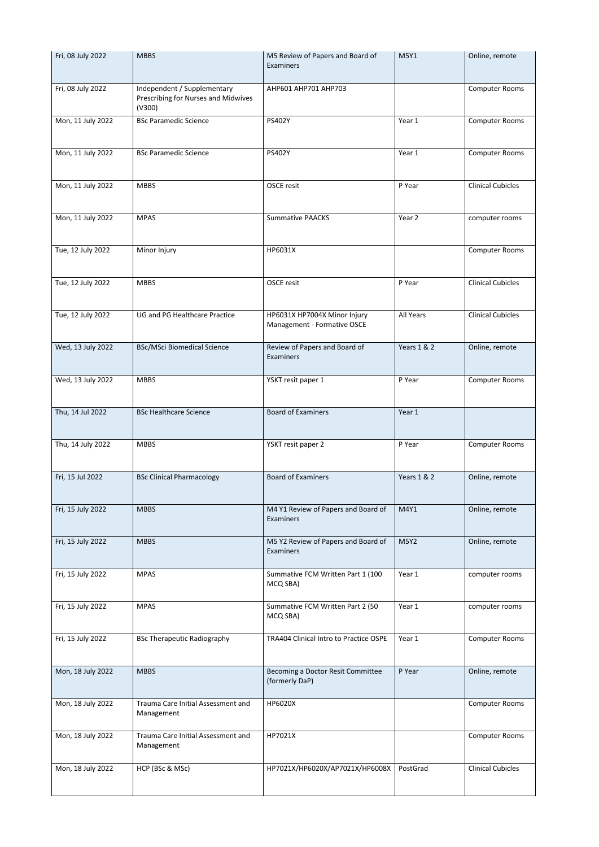| Fri, 08 July 2022 | <b>MBBS</b>                                                                  | M5 Review of Papers and Board of<br>Examiners               | <b>M5Y1</b>            | Online, remote           |
|-------------------|------------------------------------------------------------------------------|-------------------------------------------------------------|------------------------|--------------------------|
| Fri, 08 July 2022 | Independent / Supplementary<br>Prescribing for Nurses and Midwives<br>(V300) | AHP601 AHP701 AHP703                                        |                        | <b>Computer Rooms</b>    |
| Mon, 11 July 2022 | <b>BSc Paramedic Science</b>                                                 | PS402Y                                                      | Year 1                 | <b>Computer Rooms</b>    |
| Mon, 11 July 2022 | <b>BSc Paramedic Science</b>                                                 | PS402Y                                                      | Year 1                 | Computer Rooms           |
| Mon, 11 July 2022 | <b>MBBS</b>                                                                  | <b>OSCE resit</b>                                           | P Year                 | <b>Clinical Cubicles</b> |
| Mon, 11 July 2022 | <b>MPAS</b>                                                                  | <b>Summative PAACKS</b>                                     | Year 2                 | computer rooms           |
| Tue, 12 July 2022 | Minor Injury                                                                 | HP6031X                                                     |                        | <b>Computer Rooms</b>    |
| Tue, 12 July 2022 | <b>MBBS</b>                                                                  | OSCE resit                                                  | P Year                 | <b>Clinical Cubicles</b> |
| Tue, 12 July 2022 | UG and PG Healthcare Practice                                                | HP6031X HP7004X Minor Injury<br>Management - Formative OSCE | All Years              | <b>Clinical Cubicles</b> |
| Wed, 13 July 2022 | <b>BSc/MSci Biomedical Science</b>                                           | Review of Papers and Board of<br>Examiners                  | Years 1 & 2            | Online, remote           |
| Wed, 13 July 2022 | <b>MBBS</b>                                                                  | YSKT resit paper 1                                          | P Year                 | <b>Computer Rooms</b>    |
| Thu, 14 Jul 2022  | <b>BSc Healthcare Science</b>                                                | <b>Board of Examiners</b>                                   | Year 1                 |                          |
| Thu, 14 July 2022 | <b>MBBS</b>                                                                  | YSKT resit paper 2                                          | P Year                 | <b>Computer Rooms</b>    |
| Fri, 15 Jul 2022  | <b>BSc Clinical Pharmacology</b>                                             | <b>Board of Examiners</b>                                   | <b>Years 1 &amp; 2</b> | Online, remote           |
| Fri, 15 July 2022 | <b>MBBS</b>                                                                  | M4 Y1 Review of Papers and Board of<br>Examiners            | M4Y1                   | Online, remote           |
| Fri, 15 July 2022 | <b>MBBS</b>                                                                  | M5 Y2 Review of Papers and Board of<br>Examiners            | <b>M5Y2</b>            | Online, remote           |
| Fri, 15 July 2022 | <b>MPAS</b>                                                                  | Summative FCM Written Part 1 (100<br>MCQ SBA)               | Year 1                 | computer rooms           |
| Fri, 15 July 2022 | <b>MPAS</b>                                                                  | Summative FCM Written Part 2 (50<br>MCQ SBA)                | Year 1                 | computer rooms           |
| Fri, 15 July 2022 | <b>BSc Therapeutic Radiography</b>                                           | TRA404 Clinical Intro to Practice OSPE                      | Year 1                 | <b>Computer Rooms</b>    |
| Mon, 18 July 2022 | <b>MBBS</b>                                                                  | Becoming a Doctor Resit Committee<br>(formerly DaP)         | P Year                 | Online, remote           |
| Mon, 18 July 2022 | Trauma Care Initial Assessment and<br>Management                             | HP6020X                                                     |                        | <b>Computer Rooms</b>    |
| Mon, 18 July 2022 | Trauma Care Initial Assessment and<br>Management                             | HP7021X                                                     |                        | <b>Computer Rooms</b>    |
| Mon, 18 July 2022 | HCP (BSc & MSc)                                                              | HP7021X/HP6020X/AP7021X/HP6008X                             | PostGrad               | <b>Clinical Cubicles</b> |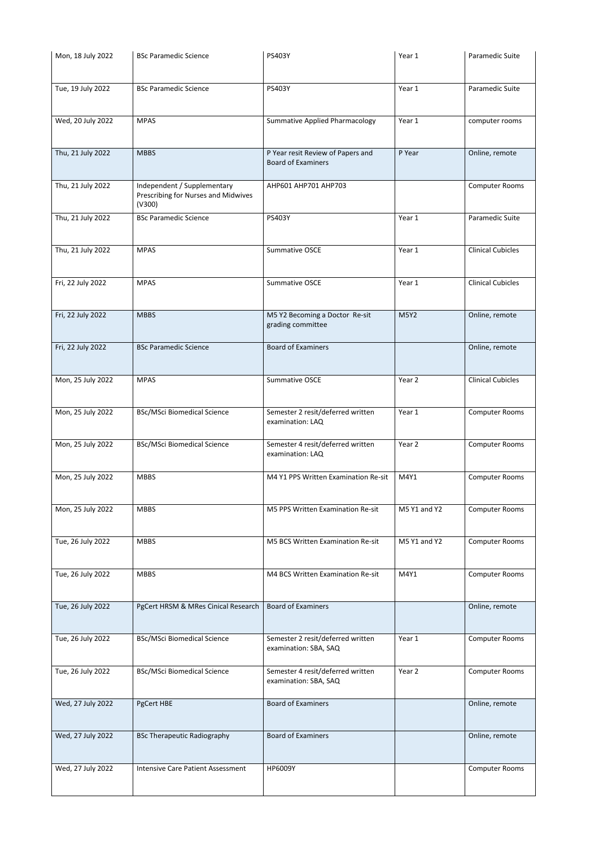| Mon, 18 July 2022 | <b>BSc Paramedic Science</b>                                                 | PS403Y                                                         | Year 1       | Paramedic Suite          |
|-------------------|------------------------------------------------------------------------------|----------------------------------------------------------------|--------------|--------------------------|
| Tue, 19 July 2022 | <b>BSc Paramedic Science</b>                                                 | PS403Y                                                         | Year 1       | Paramedic Suite          |
| Wed, 20 July 2022 | <b>MPAS</b>                                                                  | <b>Summative Applied Pharmacology</b>                          | Year 1       | computer rooms           |
| Thu, 21 July 2022 | <b>MBBS</b>                                                                  | P Year resit Review of Papers and<br><b>Board of Examiners</b> | P Year       | Online, remote           |
| Thu, 21 July 2022 | Independent / Supplementary<br>Prescribing for Nurses and Midwives<br>(V300) | AHP601 AHP701 AHP703                                           |              | Computer Rooms           |
| Thu, 21 July 2022 | <b>BSc Paramedic Science</b>                                                 | PS403Y                                                         | Year 1       | Paramedic Suite          |
| Thu, 21 July 2022 | <b>MPAS</b>                                                                  | Summative OSCE                                                 | Year 1       | <b>Clinical Cubicles</b> |
| Fri, 22 July 2022 | <b>MPAS</b>                                                                  | Summative OSCE                                                 | Year 1       | <b>Clinical Cubicles</b> |
| Fri, 22 July 2022 | <b>MBBS</b>                                                                  | M5 Y2 Becoming a Doctor Re-sit<br>grading committee            | <b>M5Y2</b>  | Online, remote           |
| Fri, 22 July 2022 | <b>BSc Paramedic Science</b>                                                 | <b>Board of Examiners</b>                                      |              | Online, remote           |
| Mon, 25 July 2022 | <b>MPAS</b>                                                                  | Summative OSCE                                                 | Year 2       | <b>Clinical Cubicles</b> |
| Mon, 25 July 2022 | <b>BSc/MSci Biomedical Science</b>                                           | Semester 2 resit/deferred written<br>examination: LAQ          | Year 1       | <b>Computer Rooms</b>    |
| Mon, 25 July 2022 | <b>BSc/MSci Biomedical Science</b>                                           | Semester 4 resit/deferred written<br>examination: LAQ          | Year 2       | <b>Computer Rooms</b>    |
| Mon, 25 July 2022 | <b>MBBS</b>                                                                  | M4 Y1 PPS Written Examination Re-sit                           | M4Y1         | <b>Computer Rooms</b>    |
| Mon, 25 July 2022 | <b>MBBS</b>                                                                  | M5 PPS Written Examination Re-sit                              | M5 Y1 and Y2 | <b>Computer Rooms</b>    |
| Tue, 26 July 2022 | <b>MBBS</b>                                                                  | M5 BCS Written Examination Re-sit                              | M5 Y1 and Y2 | <b>Computer Rooms</b>    |
| Tue, 26 July 2022 | <b>MBBS</b>                                                                  | M4 BCS Written Examination Re-sit                              | M4Y1         | <b>Computer Rooms</b>    |
| Tue, 26 July 2022 | PgCert HRSM & MRes Cinical Research                                          | <b>Board of Examiners</b>                                      |              | Online, remote           |
| Tue, 26 July 2022 | <b>BSc/MSci Biomedical Science</b>                                           | Semester 2 resit/deferred written<br>examination: SBA, SAQ     | Year 1       | <b>Computer Rooms</b>    |
| Tue, 26 July 2022 | <b>BSc/MSci Biomedical Science</b>                                           | Semester 4 resit/deferred written<br>examination: SBA, SAQ     | Year 2       | <b>Computer Rooms</b>    |
| Wed, 27 July 2022 | PgCert HBE                                                                   | <b>Board of Examiners</b>                                      |              | Online, remote           |
| Wed, 27 July 2022 | <b>BSc Therapeutic Radiography</b>                                           | <b>Board of Examiners</b>                                      |              | Online, remote           |
| Wed, 27 July 2022 | <b>Intensive Care Patient Assessment</b>                                     | HP6009Y                                                        |              | <b>Computer Rooms</b>    |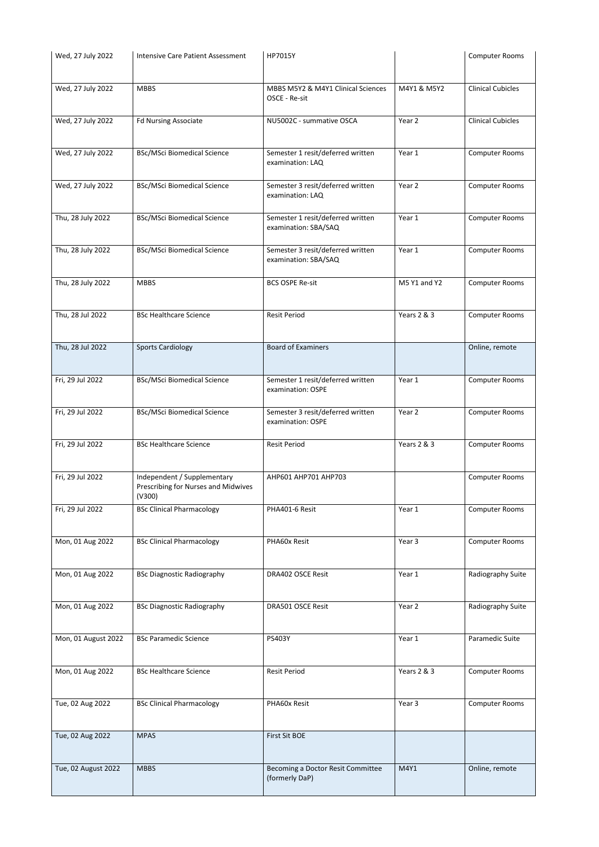| Wed, 27 July 2022   | <b>Intensive Care Patient Assessment</b>      | HP7015Y                            |                        | <b>Computer Rooms</b>    |
|---------------------|-----------------------------------------------|------------------------------------|------------------------|--------------------------|
|                     |                                               |                                    |                        |                          |
| Wed, 27 July 2022   | <b>MBBS</b>                                   | MBBS M5Y2 & M4Y1 Clinical Sciences | M4Y1 & M5Y2            | <b>Clinical Cubicles</b> |
|                     |                                               | OSCE - Re-sit                      |                        |                          |
| Wed, 27 July 2022   | <b>Fd Nursing Associate</b>                   | NU5002C - summative OSCA           | Year 2                 | <b>Clinical Cubicles</b> |
|                     |                                               |                                    |                        |                          |
| Wed, 27 July 2022   | <b>BSc/MSci Biomedical Science</b>            | Semester 1 resit/deferred written  | Year 1                 | <b>Computer Rooms</b>    |
|                     |                                               | examination: LAQ                   |                        |                          |
| Wed, 27 July 2022   | <b>BSc/MSci Biomedical Science</b>            | Semester 3 resit/deferred written  | Year 2                 | <b>Computer Rooms</b>    |
|                     |                                               | examination: LAQ                   |                        |                          |
| Thu, 28 July 2022   | <b>BSc/MSci Biomedical Science</b>            | Semester 1 resit/deferred written  | Year 1                 | <b>Computer Rooms</b>    |
|                     |                                               | examination: SBA/SAQ               |                        |                          |
| Thu, 28 July 2022   | <b>BSc/MSci Biomedical Science</b>            | Semester 3 resit/deferred written  | Year 1                 | Computer Rooms           |
|                     |                                               | examination: SBA/SAQ               |                        |                          |
|                     |                                               |                                    |                        |                          |
| Thu, 28 July 2022   | <b>MBBS</b>                                   | <b>BCS OSPE Re-sit</b>             | M5 Y1 and Y2           | Computer Rooms           |
|                     |                                               |                                    |                        |                          |
| Thu, 28 Jul 2022    | <b>BSc Healthcare Science</b>                 | <b>Resit Period</b>                | Years 2 & 3            | <b>Computer Rooms</b>    |
|                     |                                               |                                    |                        |                          |
| Thu, 28 Jul 2022    | <b>Sports Cardiology</b>                      | <b>Board of Examiners</b>          |                        | Online, remote           |
|                     |                                               |                                    |                        |                          |
| Fri, 29 Jul 2022    | <b>BSc/MSci Biomedical Science</b>            | Semester 1 resit/deferred written  | Year 1                 | <b>Computer Rooms</b>    |
|                     |                                               | examination: OSPE                  |                        |                          |
| Fri, 29 Jul 2022    | <b>BSc/MSci Biomedical Science</b>            | Semester 3 resit/deferred written  | Year 2                 | <b>Computer Rooms</b>    |
|                     |                                               | examination: OSPE                  |                        |                          |
| Fri, 29 Jul 2022    | <b>BSc Healthcare Science</b>                 | <b>Resit Period</b>                | Years 2 & 3            | <b>Computer Rooms</b>    |
|                     |                                               |                                    |                        |                          |
| Fri, 29 Jul 2022    | Independent / Supplementary                   | AHP601 AHP701 AHP703               |                        | <b>Computer Rooms</b>    |
|                     | Prescribing for Nurses and Midwives<br>(V300) |                                    |                        |                          |
| Fri, 29 Jul 2022    | <b>BSc Clinical Pharmacology</b>              | PHA401-6 Resit                     | Year 1                 | Computer Rooms           |
|                     |                                               |                                    |                        |                          |
| Mon, 01 Aug 2022    | <b>BSc Clinical Pharmacology</b>              | PHA60x Resit                       | Year 3                 | <b>Computer Rooms</b>    |
|                     |                                               |                                    |                        |                          |
|                     |                                               |                                    |                        |                          |
| Mon, 01 Aug 2022    | <b>BSc Diagnostic Radiography</b>             | DRA402 OSCE Resit                  | Year 1                 | Radiography Suite        |
|                     |                                               |                                    |                        |                          |
| Mon, 01 Aug 2022    | <b>BSc Diagnostic Radiography</b>             | <b>DRA501 OSCE Resit</b>           | Year 2                 | Radiography Suite        |
|                     |                                               |                                    |                        |                          |
| Mon, 01 August 2022 | <b>BSc Paramedic Science</b>                  | PS403Y                             | Year 1                 | Paramedic Suite          |
|                     |                                               |                                    |                        |                          |
| Mon, 01 Aug 2022    | <b>BSc Healthcare Science</b>                 | <b>Resit Period</b>                | <b>Years 2 &amp; 3</b> | <b>Computer Rooms</b>    |
|                     |                                               |                                    |                        |                          |
| Tue, 02 Aug 2022    | <b>BSc Clinical Pharmacology</b>              | PHA60x Resit                       | Year 3                 | <b>Computer Rooms</b>    |
|                     |                                               |                                    |                        |                          |
| Tue, 02 Aug 2022    | <b>MPAS</b>                                   | <b>First Sit BOE</b>               |                        |                          |
|                     |                                               |                                    |                        |                          |
| Tue, 02 August 2022 | <b>MBBS</b>                                   | Becoming a Doctor Resit Committee  | M4Y1                   | Online, remote           |
|                     |                                               | (formerly DaP)                     |                        |                          |
|                     |                                               |                                    |                        |                          |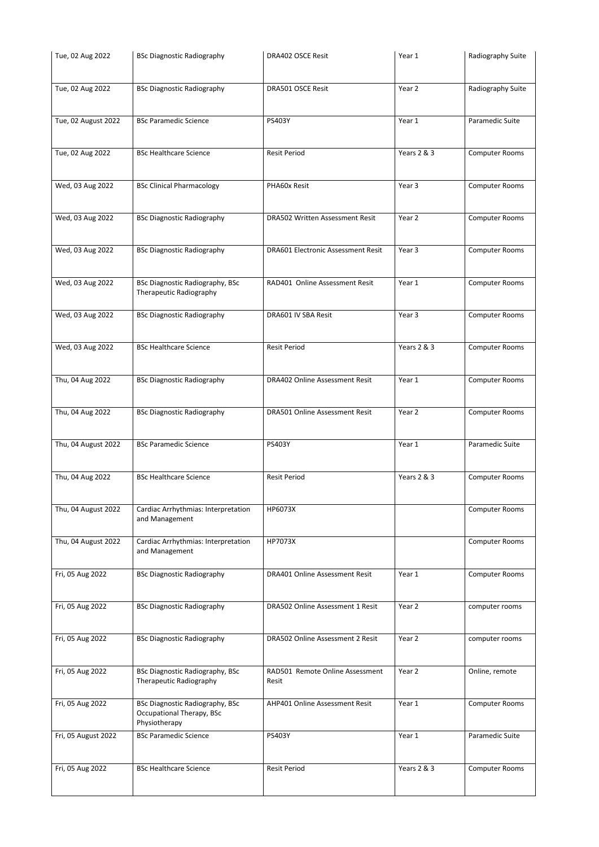| Tue, 02 Aug 2022    | <b>BSc Diagnostic Radiography</b>                                 | DRA402 OSCE Resit                         | Year 1      | Radiography Suite     |
|---------------------|-------------------------------------------------------------------|-------------------------------------------|-------------|-----------------------|
|                     |                                                                   |                                           |             |                       |
| Tue, 02 Aug 2022    | <b>BSc Diagnostic Radiography</b>                                 | <b>DRA501 OSCE Resit</b>                  | Year 2      | Radiography Suite     |
|                     |                                                                   |                                           |             |                       |
| Tue, 02 August 2022 | <b>BSc Paramedic Science</b>                                      | PS403Y                                    | Year 1      | Paramedic Suite       |
|                     |                                                                   |                                           |             |                       |
| Tue, 02 Aug 2022    | <b>BSc Healthcare Science</b>                                     | <b>Resit Period</b>                       | Years 2 & 3 | Computer Rooms        |
|                     |                                                                   |                                           |             |                       |
| Wed, 03 Aug 2022    | <b>BSc Clinical Pharmacology</b>                                  | PHA60x Resit                              | Year 3      | <b>Computer Rooms</b> |
|                     |                                                                   |                                           |             |                       |
| Wed, 03 Aug 2022    | <b>BSc Diagnostic Radiography</b>                                 | DRA502 Written Assessment Resit           | Year 2      | Computer Rooms        |
|                     |                                                                   |                                           |             |                       |
| Wed, 03 Aug 2022    | <b>BSc Diagnostic Radiography</b>                                 | <b>DRA601 Electronic Assessment Resit</b> | Year 3      | <b>Computer Rooms</b> |
|                     |                                                                   |                                           |             |                       |
| Wed, 03 Aug 2022    | <b>BSc Diagnostic Radiography, BSc</b>                            | RAD401 Online Assessment Resit            | Year 1      | Computer Rooms        |
|                     | Therapeutic Radiography                                           |                                           |             |                       |
|                     |                                                                   |                                           |             |                       |
| Wed, 03 Aug 2022    | <b>BSc Diagnostic Radiography</b>                                 | DRA601 IV SBA Resit                       | Year 3      | <b>Computer Rooms</b> |
|                     |                                                                   |                                           |             |                       |
| Wed, 03 Aug 2022    | <b>BSc Healthcare Science</b>                                     | <b>Resit Period</b>                       | Years 2 & 3 | <b>Computer Rooms</b> |
|                     |                                                                   |                                           |             |                       |
| Thu, 04 Aug 2022    | <b>BSc Diagnostic Radiography</b>                                 | <b>DRA402 Online Assessment Resit</b>     | Year 1      | <b>Computer Rooms</b> |
|                     |                                                                   |                                           |             |                       |
| Thu, 04 Aug 2022    | <b>BSc Diagnostic Radiography</b>                                 | <b>DRA501 Online Assessment Resit</b>     | Year 2      | <b>Computer Rooms</b> |
|                     |                                                                   |                                           |             |                       |
| Thu, 04 August 2022 | <b>BSc Paramedic Science</b>                                      | PS403Y                                    | Year 1      | Paramedic Suite       |
|                     |                                                                   |                                           |             |                       |
| Thu, 04 Aug 2022    | <b>BSc Healthcare Science</b>                                     | <b>Resit Period</b>                       | Years 2 & 3 | <b>Computer Rooms</b> |
|                     |                                                                   |                                           |             |                       |
|                     |                                                                   |                                           |             |                       |
| Thu, 04 August 2022 | Cardiac Arrhythmias: Interpretation<br>and Management             | HP6073X                                   |             | <b>Computer Rooms</b> |
|                     |                                                                   |                                           |             |                       |
| Thu, 04 August 2022 | Cardiac Arrhythmias: Interpretation                               | HP7073X                                   |             | <b>Computer Rooms</b> |
|                     | and Management                                                    |                                           |             |                       |
| Fri, 05 Aug 2022    | <b>BSc Diagnostic Radiography</b>                                 | <b>DRA401 Online Assessment Resit</b>     | Year 1      | <b>Computer Rooms</b> |
|                     |                                                                   |                                           |             |                       |
| Fri, 05 Aug 2022    | <b>BSc Diagnostic Radiography</b>                                 | DRA502 Online Assessment 1 Resit          | Year 2      | computer rooms        |
|                     |                                                                   |                                           |             |                       |
| Fri, 05 Aug 2022    | <b>BSc Diagnostic Radiography</b>                                 | DRA502 Online Assessment 2 Resit          | Year 2      | computer rooms        |
|                     |                                                                   |                                           |             |                       |
|                     |                                                                   |                                           |             |                       |
| Fri, 05 Aug 2022    | <b>BSc Diagnostic Radiography, BSc</b><br>Therapeutic Radiography | RAD501 Remote Online Assessment<br>Resit  | Year 2      | Online, remote        |
|                     |                                                                   |                                           |             |                       |
| Fri, 05 Aug 2022    | <b>BSc Diagnostic Radiography, BSc</b>                            | AHP401 Online Assessment Resit            | Year 1      | <b>Computer Rooms</b> |
|                     | Occupational Therapy, BSc<br>Physiotherapy                        |                                           |             |                       |
| Fri, 05 August 2022 | <b>BSc Paramedic Science</b>                                      | PS403Y                                    | Year 1      | Paramedic Suite       |
|                     |                                                                   |                                           |             |                       |
| Fri, 05 Aug 2022    | <b>BSc Healthcare Science</b>                                     | <b>Resit Period</b>                       | Years 2 & 3 | Computer Rooms        |
|                     |                                                                   |                                           |             |                       |
|                     |                                                                   |                                           |             |                       |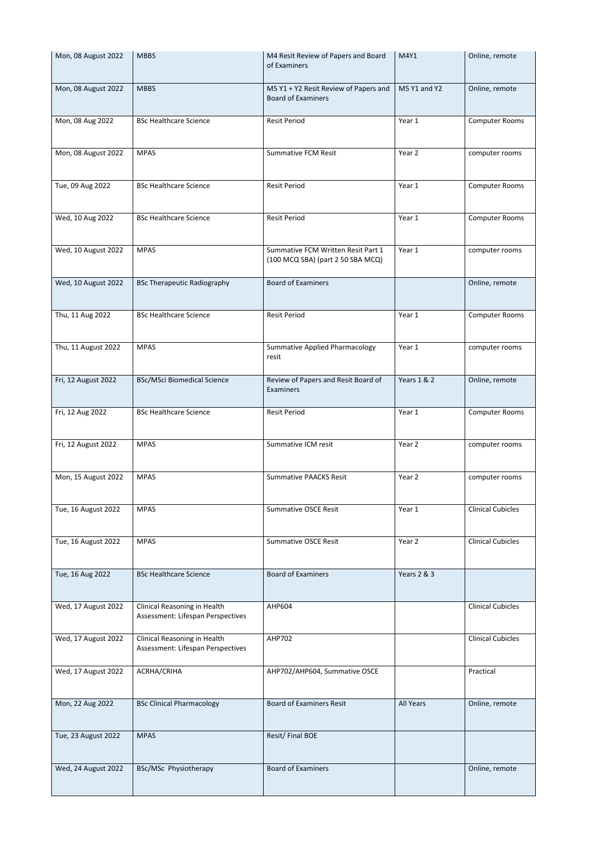| Mon, 08 August 2022 | <b>MBBS</b>                                                       | M4 Resit Review of Papers and Board<br>of Examiners                     | M4Y1                   | Online, remote           |
|---------------------|-------------------------------------------------------------------|-------------------------------------------------------------------------|------------------------|--------------------------|
| Mon, 08 August 2022 | <b>MBBS</b>                                                       | M5 Y1 + Y2 Resit Review of Papers and<br><b>Board of Examiners</b>      | M5 Y1 and Y2           | Online, remote           |
| Mon, 08 Aug 2022    | <b>BSc Healthcare Science</b>                                     | <b>Resit Period</b>                                                     | Year 1                 | Computer Rooms           |
| Mon, 08 August 2022 | <b>MPAS</b>                                                       | <b>Summative FCM Resit</b>                                              | Year 2                 | computer rooms           |
| Tue, 09 Aug 2022    | <b>BSc Healthcare Science</b>                                     | <b>Resit Period</b>                                                     | Year 1                 | <b>Computer Rooms</b>    |
| Wed, 10 Aug 2022    | <b>BSc Healthcare Science</b>                                     | <b>Resit Period</b>                                                     | Year 1                 | <b>Computer Rooms</b>    |
| Wed, 10 August 2022 | <b>MPAS</b>                                                       | Summative FCM Written Resit Part 1<br>(100 MCQ SBA) (part 2 50 SBA MCQ) | Year 1                 | computer rooms           |
| Wed, 10 August 2022 | <b>BSc Therapeutic Radiography</b>                                | <b>Board of Examiners</b>                                               |                        | Online, remote           |
| Thu, 11 Aug 2022    | <b>BSc Healthcare Science</b>                                     | <b>Resit Period</b>                                                     | Year 1                 | <b>Computer Rooms</b>    |
| Thu, 11 August 2022 | <b>MPAS</b>                                                       | <b>Summative Applied Pharmacology</b><br>resit                          | Year 1                 | computer rooms           |
| Fri, 12 August 2022 | <b>BSc/MSci Biomedical Science</b>                                | Review of Papers and Resit Board of<br>Examiners                        | <b>Years 1 &amp; 2</b> | Online, remote           |
| Fri, 12 Aug 2022    | <b>BSc Healthcare Science</b>                                     | <b>Resit Period</b>                                                     | Year 1                 | <b>Computer Rooms</b>    |
| Fri, 12 August 2022 | <b>MPAS</b>                                                       | Summative ICM resit                                                     | Year 2                 | computer rooms           |
| Mon, 15 August 2022 | <b>MPAS</b>                                                       | <b>Summative PAACKS Resit</b>                                           | Year 2                 | computer rooms           |
| Tue, 16 August 2022 | <b>MPAS</b>                                                       | <b>Summative OSCE Resit</b>                                             | Year 1                 | <b>Clinical Cubicles</b> |
| Tue, 16 August 2022 | <b>MPAS</b>                                                       | <b>Summative OSCE Resit</b>                                             | Year 2                 | <b>Clinical Cubicles</b> |
| Tue, 16 Aug 2022    | <b>BSc Healthcare Science</b>                                     | <b>Board of Examiners</b>                                               | <b>Years 2 &amp; 3</b> |                          |
| Wed, 17 August 2022 | Clinical Reasoning in Health<br>Assessment: Lifespan Perspectives | AHP604                                                                  |                        | <b>Clinical Cubicles</b> |
| Wed, 17 August 2022 | Clinical Reasoning in Health<br>Assessment: Lifespan Perspectives | <b>AHP702</b>                                                           |                        | <b>Clinical Cubicles</b> |
| Wed, 17 August 2022 | ACRHA/CRIHA                                                       | AHP702/AHP604, Summative OSCE                                           |                        | Practical                |
| Mon, 22 Aug 2022    | <b>BSc Clinical Pharmacology</b>                                  | <b>Board of Examiners Resit</b>                                         | All Years              | Online, remote           |
| Tue, 23 August 2022 | <b>MPAS</b>                                                       | Resit/Final BOE                                                         |                        |                          |
| Wed, 24 August 2022 | BSc/MSc Physiotherapy                                             | <b>Board of Examiners</b>                                               |                        | Online, remote           |